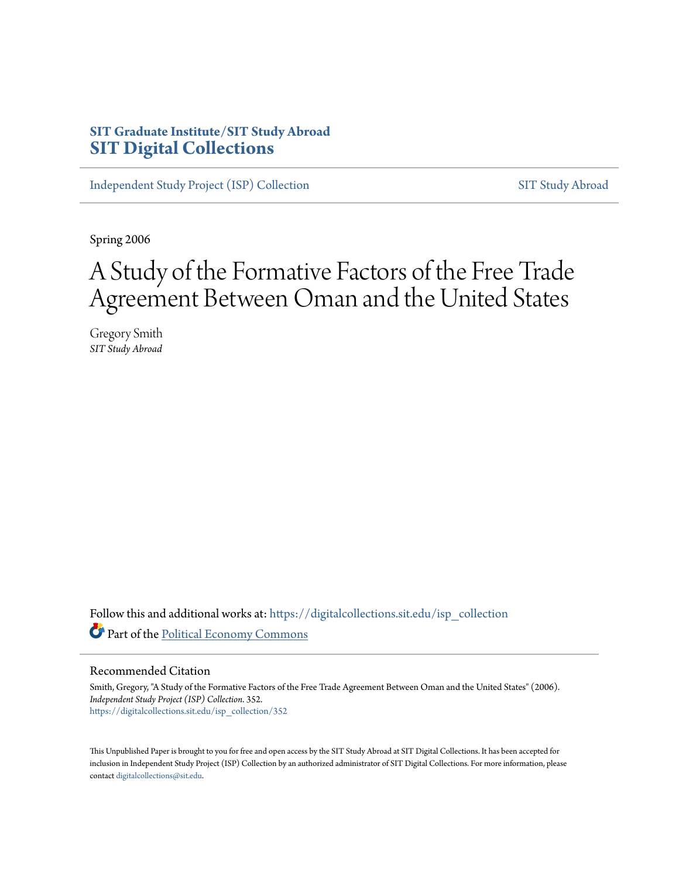# **SIT Graduate Institute/SIT Study Abroad [SIT Digital Collections](https://digitalcollections.sit.edu?utm_source=digitalcollections.sit.edu%2Fisp_collection%2F352&utm_medium=PDF&utm_campaign=PDFCoverPages)**

[Independent Study Project \(ISP\) Collection](https://digitalcollections.sit.edu/isp_collection?utm_source=digitalcollections.sit.edu%2Fisp_collection%2F352&utm_medium=PDF&utm_campaign=PDFCoverPages) [SIT Study Abroad](https://digitalcollections.sit.edu/study_abroad?utm_source=digitalcollections.sit.edu%2Fisp_collection%2F352&utm_medium=PDF&utm_campaign=PDFCoverPages)

Spring 2006

# A Study of the Formative Factors of the Free Trade Agreement Between Oman and the United States

Gregory Smith *SIT Study Abroad*

Follow this and additional works at: [https://digitalcollections.sit.edu/isp\\_collection](https://digitalcollections.sit.edu/isp_collection?utm_source=digitalcollections.sit.edu%2Fisp_collection%2F352&utm_medium=PDF&utm_campaign=PDFCoverPages) Part of the [Political Economy Commons](http://network.bepress.com/hgg/discipline/352?utm_source=digitalcollections.sit.edu%2Fisp_collection%2F352&utm_medium=PDF&utm_campaign=PDFCoverPages)

#### Recommended Citation

Smith, Gregory, "A Study of the Formative Factors of the Free Trade Agreement Between Oman and the United States" (2006). *Independent Study Project (ISP) Collection*. 352. [https://digitalcollections.sit.edu/isp\\_collection/352](https://digitalcollections.sit.edu/isp_collection/352?utm_source=digitalcollections.sit.edu%2Fisp_collection%2F352&utm_medium=PDF&utm_campaign=PDFCoverPages)

This Unpublished Paper is brought to you for free and open access by the SIT Study Abroad at SIT Digital Collections. It has been accepted for inclusion in Independent Study Project (ISP) Collection by an authorized administrator of SIT Digital Collections. For more information, please contact [digitalcollections@sit.edu](mailto:digitalcollections@sit.edu).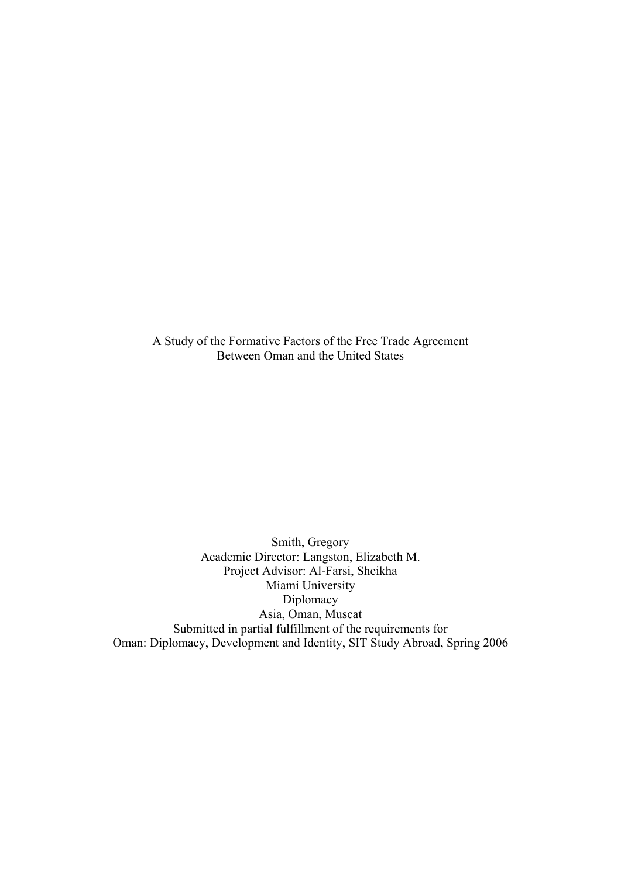A Study of the Formative Factors of the Free Trade Agreement Between Oman and the United States

Smith, Gregory Academic Director: Langston, Elizabeth M. Project Advisor: Al-Farsi, Sheikha Miami University Diplomacy Asia, Oman, Muscat Submitted in partial fulfillment of the requirements for Oman: Diplomacy, Development and Identity, SIT Study Abroad, Spring 2006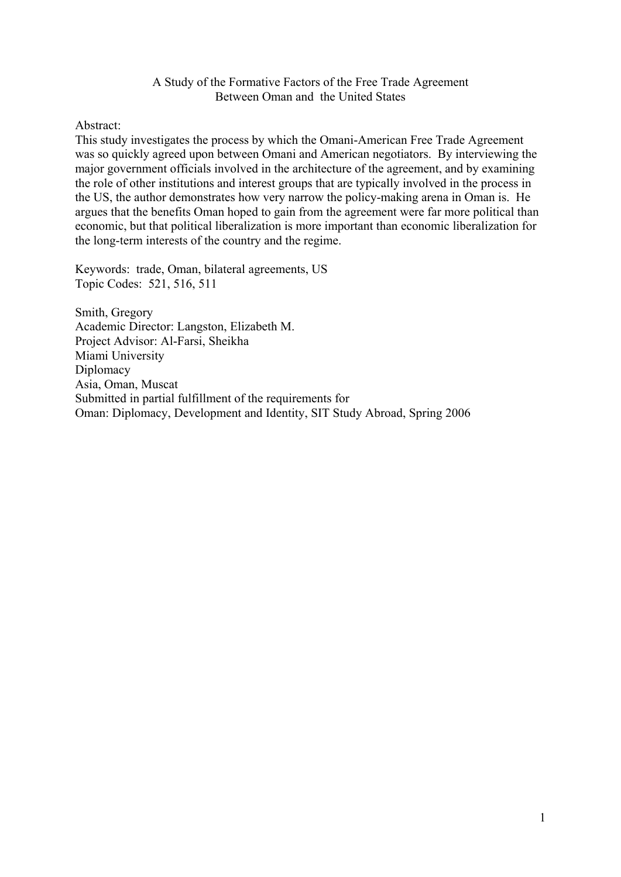#### A Study of the Formative Factors of the Free Trade Agreement Between Oman and the United States

Abstract:

This study investigates the process by which the Omani-American Free Trade Agreement was so quickly agreed upon between Omani and American negotiators. By interviewing the major government officials involved in the architecture of the agreement, and by examining the role of other institutions and interest groups that are typically involved in the process in the US, the author demonstrates how very narrow the policy-making arena in Oman is. He argues that the benefits Oman hoped to gain from the agreement were far more political than economic, but that political liberalization is more important than economic liberalization for the long-term interests of the country and the regime.

Keywords: trade, Oman, bilateral agreements, US Topic Codes: 521, 516, 511

Smith, Gregory Academic Director: Langston, Elizabeth M. Project Advisor: Al-Farsi, Sheikha Miami University Diplomacy Asia, Oman, Muscat Submitted in partial fulfillment of the requirements for Oman: Diplomacy, Development and Identity, SIT Study Abroad, Spring 2006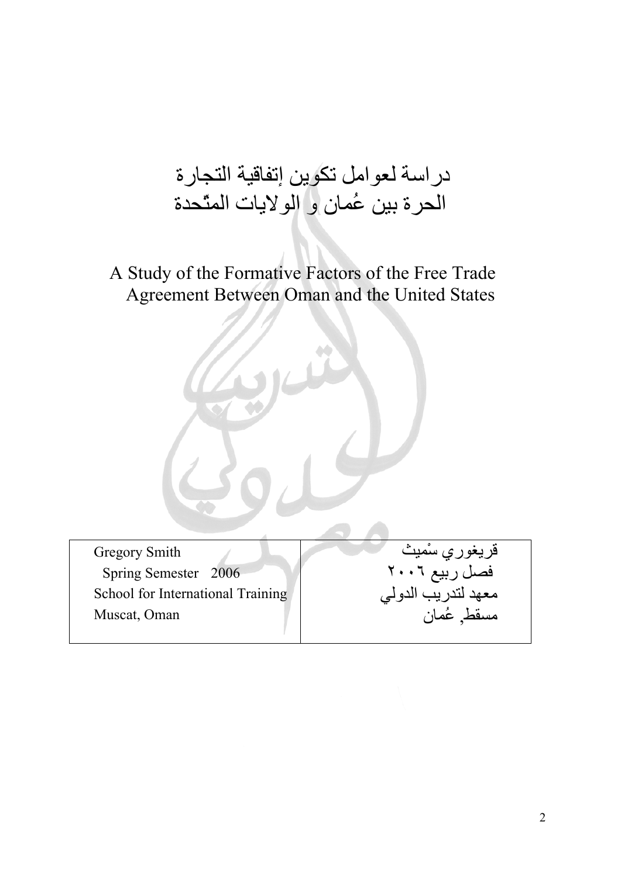# دراسة لعوامل تكوين إتفاقية التجارة الحرة بين عُمان و الولايات المتّحدة

# A Study of the Formative Factors of the Free Trade Agreement Between Oman and the United States

Gregory Smith Spring Semester 2006 School for International Training Muscat, Oman

قريغوري سْميث فصل ربيع ٢٠٠٦ معهد لتدريب الدولي , عُمان مسقط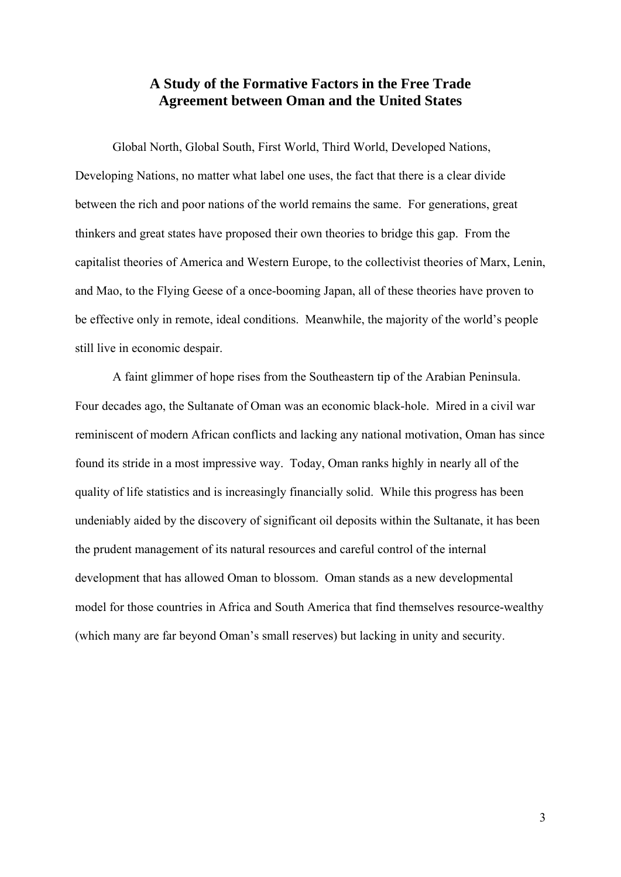# **A Study of the Formative Factors in the Free Trade Agreement between Oman and the United States**

Global North, Global South, First World, Third World, Developed Nations, Developing Nations, no matter what label one uses, the fact that there is a clear divide between the rich and poor nations of the world remains the same. For generations, great thinkers and great states have proposed their own theories to bridge this gap. From the capitalist theories of America and Western Europe, to the collectivist theories of Marx, Lenin, and Mao, to the Flying Geese of a once-booming Japan, all of these theories have proven to be effective only in remote, ideal conditions. Meanwhile, the majority of the world's people still live in economic despair.

 A faint glimmer of hope rises from the Southeastern tip of the Arabian Peninsula. Four decades ago, the Sultanate of Oman was an economic black-hole. Mired in a civil war reminiscent of modern African conflicts and lacking any national motivation, Oman has since found its stride in a most impressive way. Today, Oman ranks highly in nearly all of the quality of life statistics and is increasingly financially solid. While this progress has been undeniably aided by the discovery of significant oil deposits within the Sultanate, it has been the prudent management of its natural resources and careful control of the internal development that has allowed Oman to blossom. Oman stands as a new developmental model for those countries in Africa and South America that find themselves resource-wealthy (which many are far beyond Oman's small reserves) but lacking in unity and security.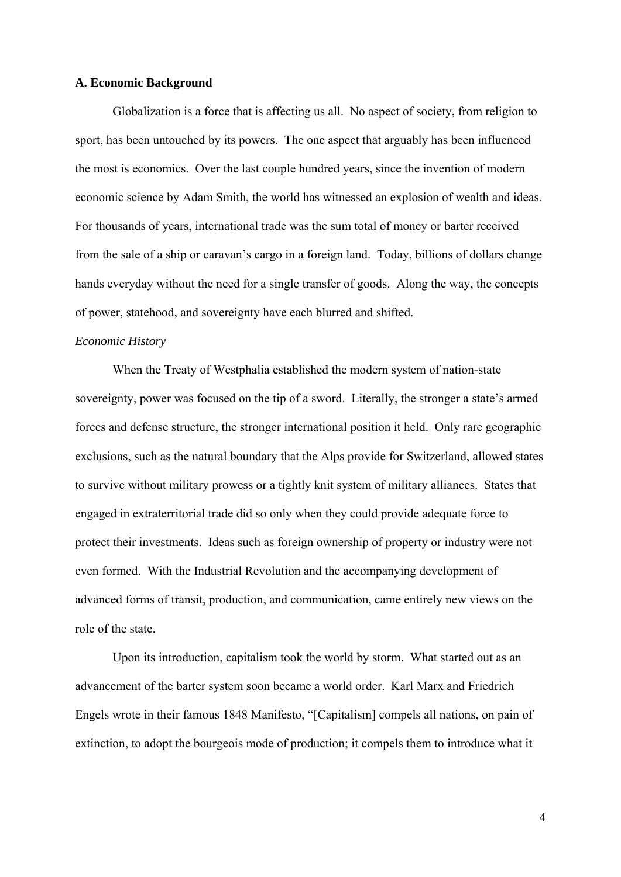#### **A. Economic Background**

 Globalization is a force that is affecting us all. No aspect of society, from religion to sport, has been untouched by its powers. The one aspect that arguably has been influenced the most is economics. Over the last couple hundred years, since the invention of modern economic science by Adam Smith, the world has witnessed an explosion of wealth and ideas. For thousands of years, international trade was the sum total of money or barter received from the sale of a ship or caravan's cargo in a foreign land. Today, billions of dollars change hands everyday without the need for a single transfer of goods. Along the way, the concepts of power, statehood, and sovereignty have each blurred and shifted.

#### *Economic History*

 When the Treaty of Westphalia established the modern system of nation-state sovereignty, power was focused on the tip of a sword. Literally, the stronger a state's armed forces and defense structure, the stronger international position it held. Only rare geographic exclusions, such as the natural boundary that the Alps provide for Switzerland, allowed states to survive without military prowess or a tightly knit system of military alliances. States that engaged in extraterritorial trade did so only when they could provide adequate force to protect their investments. Ideas such as foreign ownership of property or industry were not even formed. With the Industrial Revolution and the accompanying development of advanced forms of transit, production, and communication, came entirely new views on the role of the state.

 Upon its introduction, capitalism took the world by storm. What started out as an advancement of the barter system soon became a world order. Karl Marx and Friedrich Engels wrote in their famous 1848 Manifesto, "[Capitalism] compels all nations, on pain of extinction, to adopt the bourgeois mode of production; it compels them to introduce what it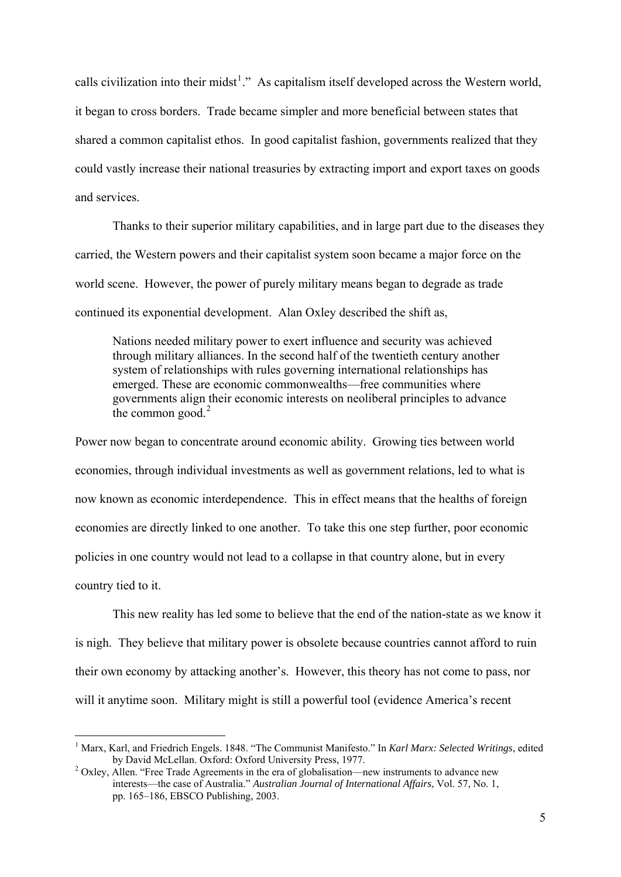calls civilization into their midst<sup>[1](#page-6-0)</sup>." As capitalism itself developed across the Western world, it began to cross borders. Trade became simpler and more beneficial between states that shared a common capitalist ethos. In good capitalist fashion, governments realized that they could vastly increase their national treasuries by extracting import and export taxes on goods and services.

Thanks to their superior military capabilities, and in large part due to the diseases they carried, the Western powers and their capitalist system soon became a major force on the world scene. However, the power of purely military means began to degrade as trade continued its exponential development. Alan Oxley described the shift as,

Nations needed military power to exert influence and security was achieved through military alliances. In the second half of the twentieth century another system of relationships with rules governing international relationships has emerged. These are economic commonwealths—free communities where governments align their economic interests on neoliberal principles to advance the common good. $2$ 

Power now began to concentrate around economic ability. Growing ties between world economies, through individual investments as well as government relations, led to what is now known as economic interdependence. This in effect means that the healths of foreign economies are directly linked to one another. To take this one step further, poor economic policies in one country would not lead to a collapse in that country alone, but in every country tied to it.

 This new reality has led some to believe that the end of the nation-state as we know it is nigh. They believe that military power is obsolete because countries cannot afford to ruin their own economy by attacking another's. However, this theory has not come to pass, nor will it anytime soon. Military might is still a powerful tool (evidence America's recent

<span id="page-6-0"></span><sup>&</sup>lt;sup>1</sup> Marx, Karl, and Friedrich Engels. 1848. "The Communist Manifesto." In *Karl Marx: Selected Writings*, edited by David McLellan. Oxford: Oxford University Press, 1977.

<span id="page-6-1"></span>Oxley, Allen. "Free Trade Agreements in the era of globalisation—new instruments to advance new interests—the case of Australia." *Australian Journal of International Affairs*, Vol. 57, No. 1, pp. 165–186, EBSCO Publishing, 2003.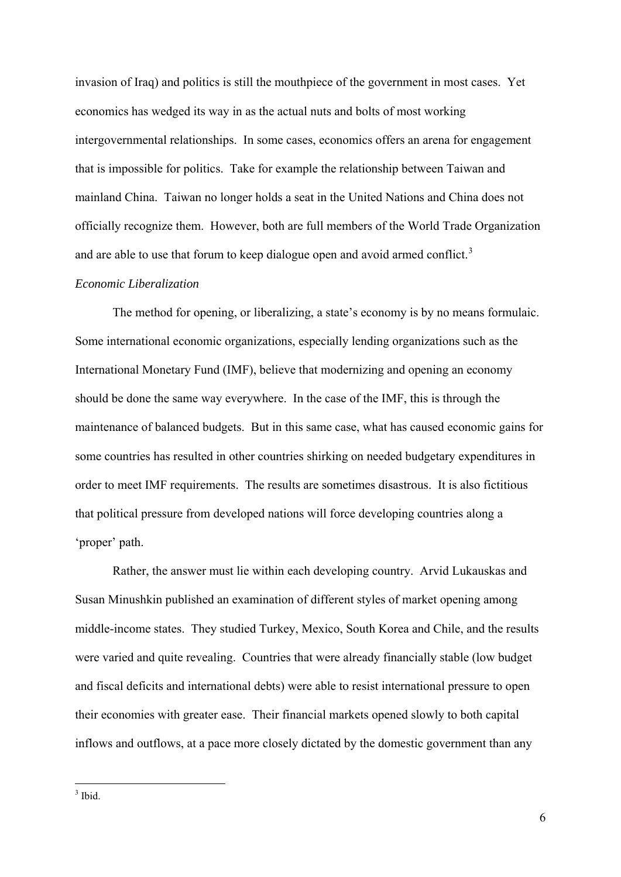invasion of Iraq) and politics is still the mouthpiece of the government in most cases. Yet economics has wedged its way in as the actual nuts and bolts of most working intergovernmental relationships. In some cases, economics offers an arena for engagement that is impossible for politics. Take for example the relationship between Taiwan and mainland China. Taiwan no longer holds a seat in the United Nations and China does not officially recognize them. However, both are full members of the World Trade Organization and are able to use that forum to keep dialogue open and avoid armed conflict.<sup>[3](#page-7-0)</sup>

# *Economic Liberalization*

 The method for opening, or liberalizing, a state's economy is by no means formulaic. Some international economic organizations, especially lending organizations such as the International Monetary Fund (IMF), believe that modernizing and opening an economy should be done the same way everywhere. In the case of the IMF, this is through the maintenance of balanced budgets. But in this same case, what has caused economic gains for some countries has resulted in other countries shirking on needed budgetary expenditures in order to meet IMF requirements. The results are sometimes disastrous. It is also fictitious that political pressure from developed nations will force developing countries along a 'proper' path.

 Rather, the answer must lie within each developing country. Arvid Lukauskas and Susan Minushkin published an examination of different styles of market opening among middle-income states. They studied Turkey, Mexico, South Korea and Chile, and the results were varied and quite revealing. Countries that were already financially stable (low budget and fiscal deficits and international debts) were able to resist international pressure to open their economies with greater ease. Their financial markets opened slowly to both capital inflows and outflows, at a pace more closely dictated by the domestic government than any

<span id="page-7-0"></span> $\frac{3}{3}$  Ibid.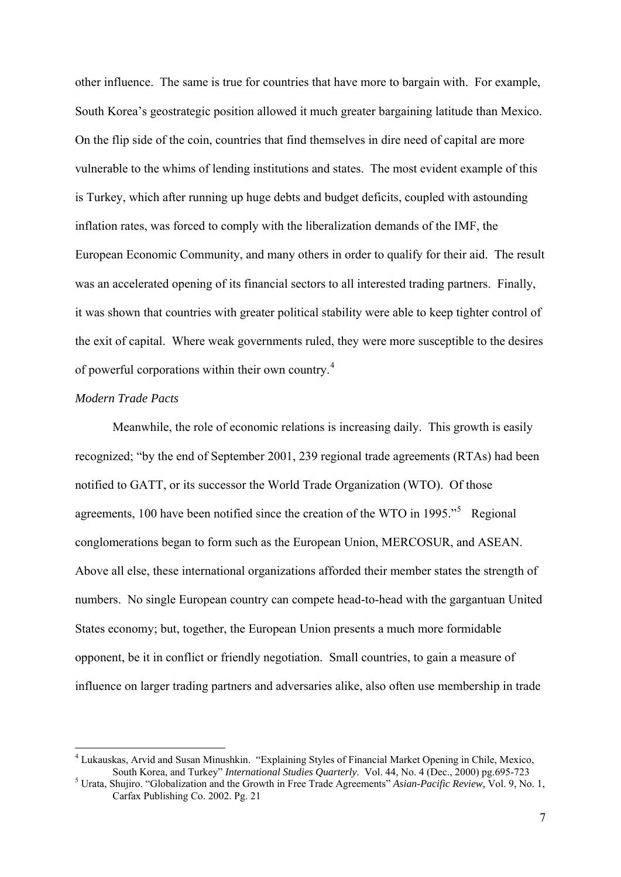other influence. The same is true for countries that have more to bargain with. For example, South Korea's geostrategic position allowed it much greater bargaining latitude than Mexico. On the flip side of the coin, countries that find themselves in dire need of capital are more vulnerable to the whims of lending institutions and states. The most evident example of this is Turkey, which after running up huge debts and budget deficits, coupled with astounding inflation rates, was forced to comply with the liberalization demands of the IMF, the European Economic Community, and many others in order to qualify for their aid. The result was an accelerated opening of its financial sectors to all interested trading partners. Finally, it was shown that countries with greater political stability were able to keep tighter control of the exit of capital. Where weak governments ruled, they were more susceptible to the desires of powerful corporations within their own country.[4](#page-8-0)

# *Modern Trade Pacts*

1

 Meanwhile, the role of economic relations is increasing daily. This growth is easily recognized; "by the end of September 2001, 239 regional trade agreements (RTAs) had been notified to GATT, or its successor the World Trade Organization (WTO). Of those agreements, 100 have been notified since the creation of the WTO in 199[5](#page-8-1). $\cdot$ <sup>5</sup> Regional conglomerations began to form such as the European Union, MERCOSUR, and ASEAN. Above all else, these international organizations afforded their member states the strength of numbers. No single European country can compete head-to-head with the gargantuan United States economy; but, together, the European Union presents a much more formidable opponent, be it in conflict or friendly negotiation. Small countries, to gain a measure of influence on larger trading partners and adversaries alike, also often use membership in trade

<span id="page-8-0"></span><sup>&</sup>lt;sup>4</sup> Lukauskas, Arvid and Susan Minushkin. "Explaining Styles of Financial Market Opening in Chile, Mexico, South Korea, and Turkey" *International Studies Quarterly*. Vol. 44, No. 4 (Dec., 2000) pg.695-723 5

<span id="page-8-1"></span>Urata, Shujiro. "Globalization and the Growth in Free Trade Agreements" *Asian-Pacific Review,* Vol. 9, No. 1, Carfax Publishing Co. 2002. Pg. 21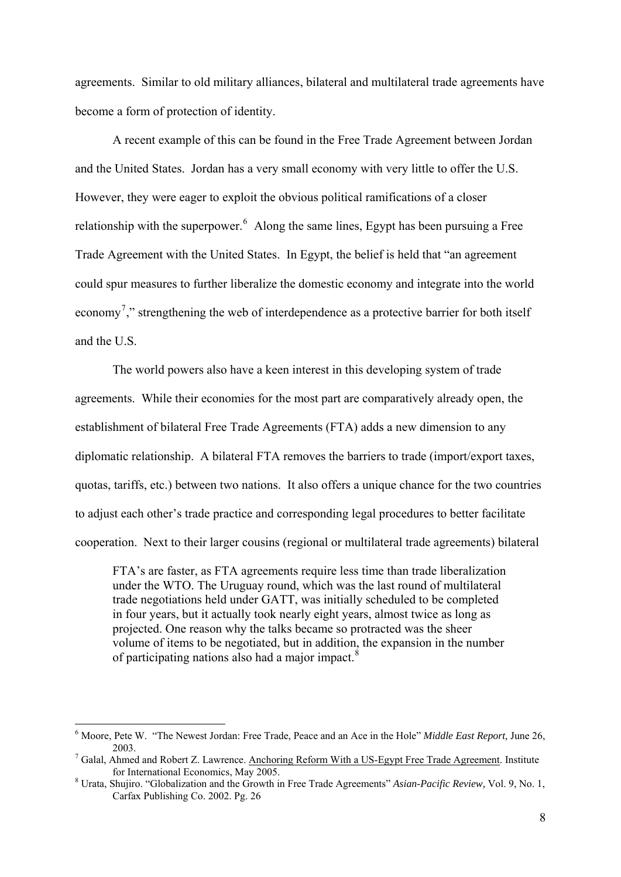agreements. Similar to old military alliances, bilateral and multilateral trade agreements have become a form of protection of identity.

A recent example of this can be found in the Free Trade Agreement between Jordan and the United States. Jordan has a very small economy with very little to offer the U.S. However, they were eager to exploit the obvious political ramifications of a closer relationship with the superpower.  $\delta$  Along the same lines, Egypt has been pursuing a Free Trade Agreement with the United States. In Egypt, the belief is held that "an agreement could spur measures to further liberalize the domestic economy and integrate into the world economy<sup>[7](#page-9-1)</sup>," strengthening the web of interdependence as a protective barrier for both itself and the U.S.

 The world powers also have a keen interest in this developing system of trade agreements. While their economies for the most part are comparatively already open, the establishment of bilateral Free Trade Agreements (FTA) adds a new dimension to any diplomatic relationship. A bilateral FTA removes the barriers to trade (import/export taxes, quotas, tariffs, etc.) between two nations. It also offers a unique chance for the two countries to adjust each other's trade practice and corresponding legal procedures to better facilitate cooperation. Next to their larger cousins (regional or multilateral trade agreements) bilateral

FTA's are faster, as FTA agreements require less time than trade liberalization under the WTO. The Uruguay round, which was the last round of multilateral trade negotiations held under GATT, was initially scheduled to be completed in four years, but it actually took nearly eight years, almost twice as long as projected. One reason why the talks became so protracted was the sheer volume of items to be negotiated, but in addition, the expansion in the number of participating nations also had a major impact.[8](#page-9-2)

<span id="page-9-0"></span><sup>6</sup> Moore, Pete W. "The Newest Jordan: Free Trade, Peace and an Ace in the Hole" *Middle East Report,* June 26, 2003.<br><sup>7</sup> Galal, Ahmed and Robert Z. Lawrence. <u>Anchoring Reform With a US-Egypt Free Trade Agreement</u>. Institute

<span id="page-9-1"></span>for International Economics, May  $2005$ .

<span id="page-9-2"></span>Urata, Shujiro. "Globalization and the Growth in Free Trade Agreements" *Asian-Pacific Review,* Vol. 9, No. 1, Carfax Publishing Co. 2002. Pg. 26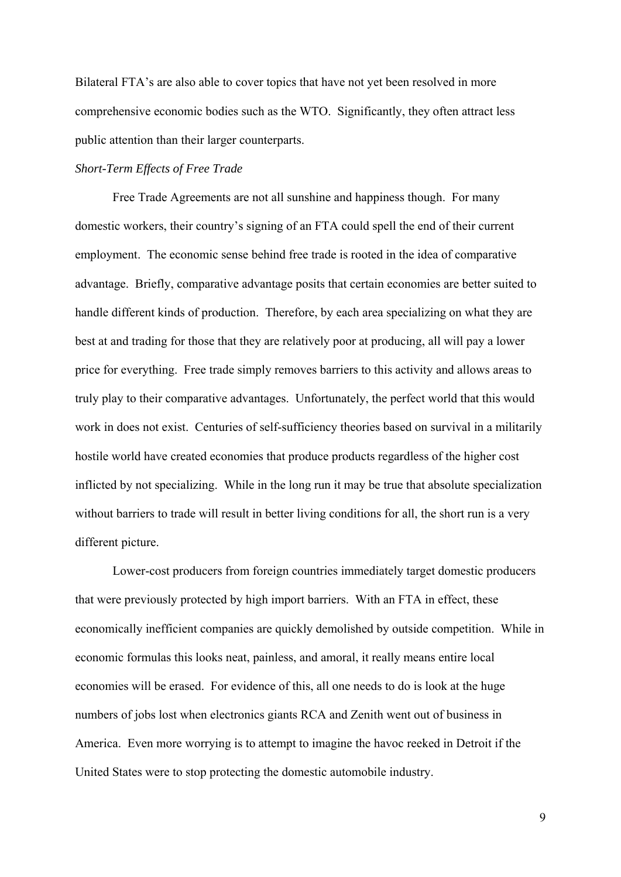Bilateral FTA's are also able to cover topics that have not yet been resolved in more comprehensive economic bodies such as the WTO. Significantly, they often attract less public attention than their larger counterparts.

#### *Short-Term Effects of Free Trade*

 Free Trade Agreements are not all sunshine and happiness though. For many domestic workers, their country's signing of an FTA could spell the end of their current employment. The economic sense behind free trade is rooted in the idea of comparative advantage. Briefly, comparative advantage posits that certain economies are better suited to handle different kinds of production. Therefore, by each area specializing on what they are best at and trading for those that they are relatively poor at producing, all will pay a lower price for everything. Free trade simply removes barriers to this activity and allows areas to truly play to their comparative advantages. Unfortunately, the perfect world that this would work in does not exist. Centuries of self-sufficiency theories based on survival in a militarily hostile world have created economies that produce products regardless of the higher cost inflicted by not specializing. While in the long run it may be true that absolute specialization without barriers to trade will result in better living conditions for all, the short run is a very different picture.

 Lower-cost producers from foreign countries immediately target domestic producers that were previously protected by high import barriers. With an FTA in effect, these economically inefficient companies are quickly demolished by outside competition. While in economic formulas this looks neat, painless, and amoral, it really means entire local economies will be erased. For evidence of this, all one needs to do is look at the huge numbers of jobs lost when electronics giants RCA and Zenith went out of business in America. Even more worrying is to attempt to imagine the havoc reeked in Detroit if the United States were to stop protecting the domestic automobile industry.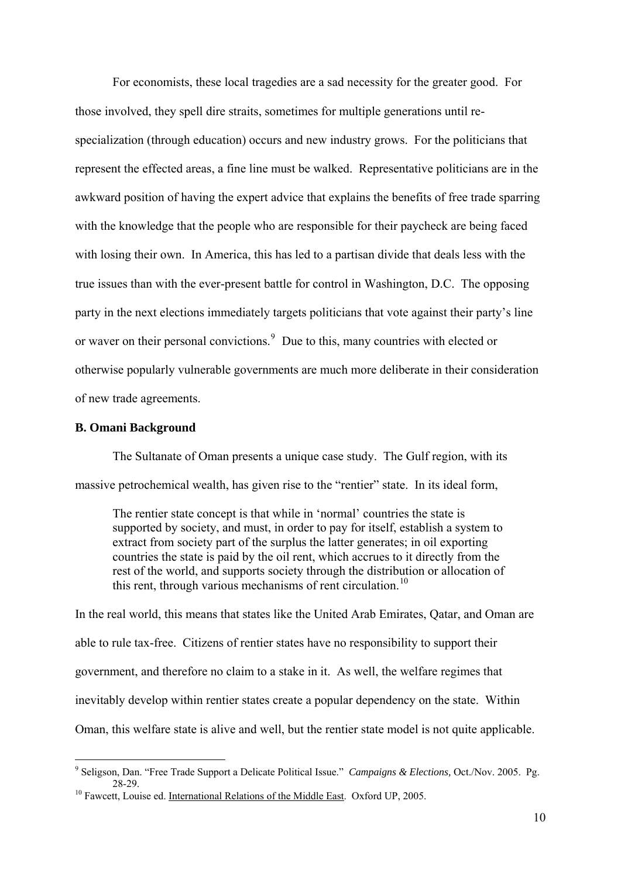For economists, these local tragedies are a sad necessity for the greater good. For those involved, they spell dire straits, sometimes for multiple generations until respecialization (through education) occurs and new industry grows. For the politicians that represent the effected areas, a fine line must be walked. Representative politicians are in the awkward position of having the expert advice that explains the benefits of free trade sparring with the knowledge that the people who are responsible for their paycheck are being faced with losing their own. In America, this has led to a partisan divide that deals less with the true issues than with the ever-present battle for control in Washington, D.C. The opposing party in the next elections immediately targets politicians that vote against their party's line or waver on their personal convictions.<sup>[9](#page-11-0)</sup> Due to this, many countries with elected or otherwise popularly vulnerable governments are much more deliberate in their consideration of new trade agreements.

#### **B. Omani Background**

1

 The Sultanate of Oman presents a unique case study. The Gulf region, with its massive petrochemical wealth, has given rise to the "rentier" state. In its ideal form,

The rentier state concept is that while in 'normal' countries the state is supported by society, and must, in order to pay for itself, establish a system to extract from society part of the surplus the latter generates; in oil exporting countries the state is paid by the oil rent, which accrues to it directly from the rest of the world, and supports society through the distribution or allocation of this rent, through various mechanisms of rent circulation.<sup>[10](#page-11-1)</sup>

In the real world, this means that states like the United Arab Emirates, Qatar, and Oman are able to rule tax-free. Citizens of rentier states have no responsibility to support their government, and therefore no claim to a stake in it. As well, the welfare regimes that inevitably develop within rentier states create a popular dependency on the state. Within Oman, this welfare state is alive and well, but the rentier state model is not quite applicable.

<span id="page-11-0"></span><sup>9</sup> Seligson, Dan. "Free Trade Support a Delicate Political Issue." *Campaigns & Elections,* Oct./Nov. 2005. Pg. 28-29.<br><sup>10</sup> Fawcett, Louise ed. <u>International Relations of the Middle East</u>. Oxford UP, 2005.

<span id="page-11-1"></span>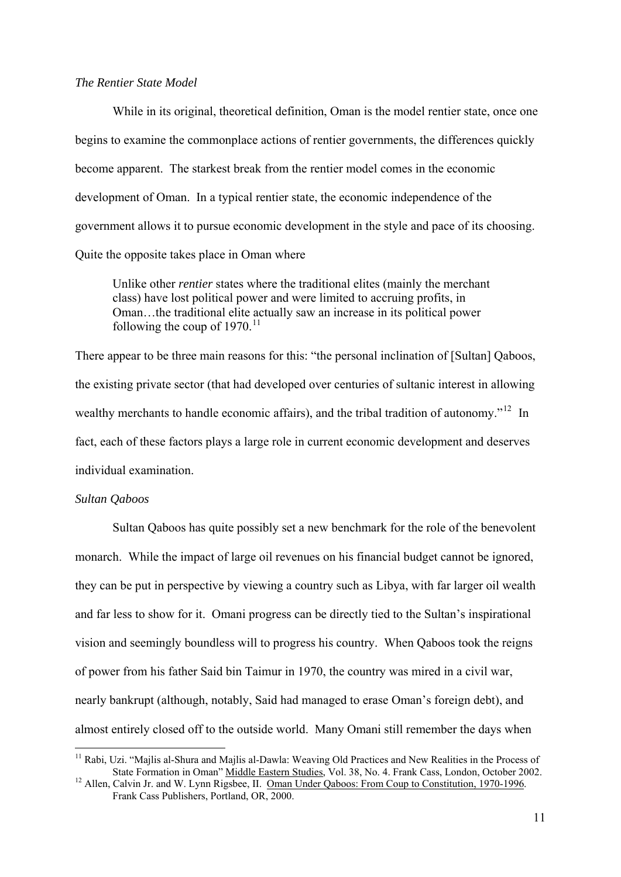#### *The Rentier State Model*

 While in its original, theoretical definition, Oman is the model rentier state, once one begins to examine the commonplace actions of rentier governments, the differences quickly become apparent. The starkest break from the rentier model comes in the economic development of Oman. In a typical rentier state, the economic independence of the government allows it to pursue economic development in the style and pace of its choosing. Quite the opposite takes place in Oman where

Unlike other *rentier* states where the traditional elites (mainly the merchant class) have lost political power and were limited to accruing profits, in Oman…the traditional elite actually saw an increase in its political power following the coup of  $1970$ .<sup>[11](#page-12-0)</sup>

There appear to be three main reasons for this: "the personal inclination of [Sultan] Qaboos, the existing private sector (that had developed over centuries of sultanic interest in allowing wealthy merchants to handle economic affairs), and the tribal tradition of autonomy."<sup>[12](#page-12-1)</sup> In fact, each of these factors plays a large role in current economic development and deserves individual examination.

#### *Sultan Qaboos*

1

 Sultan Qaboos has quite possibly set a new benchmark for the role of the benevolent monarch. While the impact of large oil revenues on his financial budget cannot be ignored, they can be put in perspective by viewing a country such as Libya, with far larger oil wealth and far less to show for it. Omani progress can be directly tied to the Sultan's inspirational vision and seemingly boundless will to progress his country. When Qaboos took the reigns of power from his father Said bin Taimur in 1970, the country was mired in a civil war, nearly bankrupt (although, notably, Said had managed to erase Oman's foreign debt), and almost entirely closed off to the outside world. Many Omani still remember the days when

<span id="page-12-0"></span><sup>&</sup>lt;sup>11</sup> Rabi, Uzi. "Majlis al-Shura and Majlis al-Dawla: Weaving Old Practices and New Realities in the Process of State Formation in Oman" Middle Eastern Studies, Vol. 38, No. 4. Frank Cass, London, October 2002.<br><sup>12</sup> Allen, Calvin Jr. and W. Lynn Rigsbee, II. <u>Oman Under Qaboos: From Coup to Constitution, 1970-1996</u>.

<span id="page-12-1"></span>Frank Cass Publishers, Portland, OR, 2000.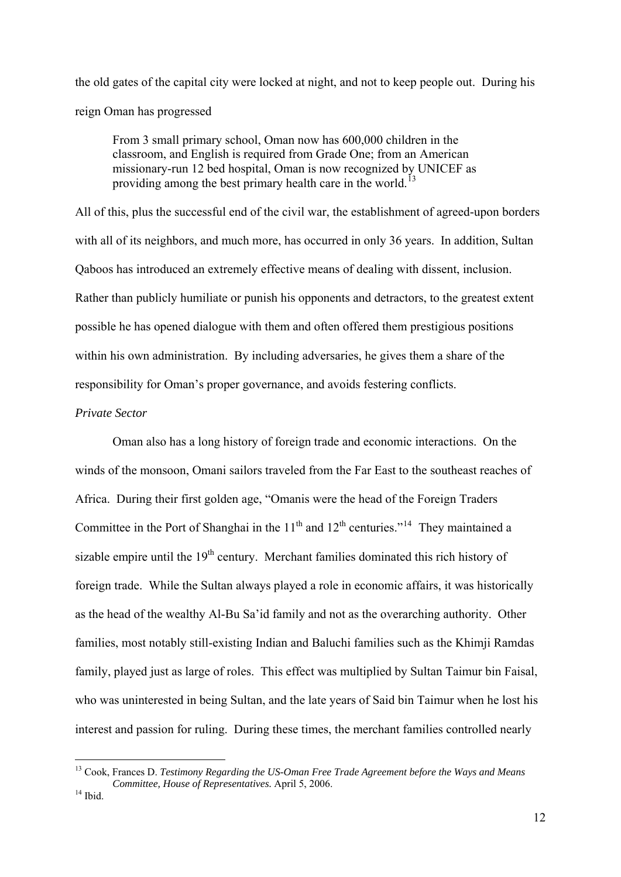the old gates of the capital city were locked at night, and not to keep people out. During his reign Oman has progressed

From 3 small primary school, Oman now has 600,000 children in the classroom, and English is required from Grade One; from an American missionary-run 12 bed hospital, Oman is now recognized by UNICEF as providing among the best primary health care in the world.<sup>[13](#page-13-0)</sup>

All of this, plus the successful end of the civil war, the establishment of agreed-upon borders with all of its neighbors, and much more, has occurred in only 36 years. In addition, Sultan Qaboos has introduced an extremely effective means of dealing with dissent, inclusion. Rather than publicly humiliate or punish his opponents and detractors, to the greatest extent possible he has opened dialogue with them and often offered them prestigious positions within his own administration. By including adversaries, he gives them a share of the responsibility for Oman's proper governance, and avoids festering conflicts.

# *Private Sector*

 Oman also has a long history of foreign trade and economic interactions. On the winds of the monsoon, Omani sailors traveled from the Far East to the southeast reaches of Africa. During their first golden age, "Omanis were the head of the Foreign Traders Committee in the Port of Shanghai in the  $11<sup>th</sup>$  and  $12<sup>th</sup>$  centuries."<sup>[14](#page-13-1)</sup> They maintained a sizable empire until the  $19<sup>th</sup>$  century. Merchant families dominated this rich history of foreign trade. While the Sultan always played a role in economic affairs, it was historically as the head of the wealthy Al-Bu Sa'id family and not as the overarching authority. Other families, most notably still-existing Indian and Baluchi families such as the Khimji Ramdas family, played just as large of roles. This effect was multiplied by Sultan Taimur bin Faisal, who was uninterested in being Sultan, and the late years of Said bin Taimur when he lost his interest and passion for ruling. During these times, the merchant families controlled nearly

<span id="page-13-1"></span><span id="page-13-0"></span><sup>13</sup> Cook, Frances D. *Testimony Regarding the US-Oman Free Trade Agreement before the Ways and Means Committee, House of Representatives.* April 5, 2006. 14 Ibid.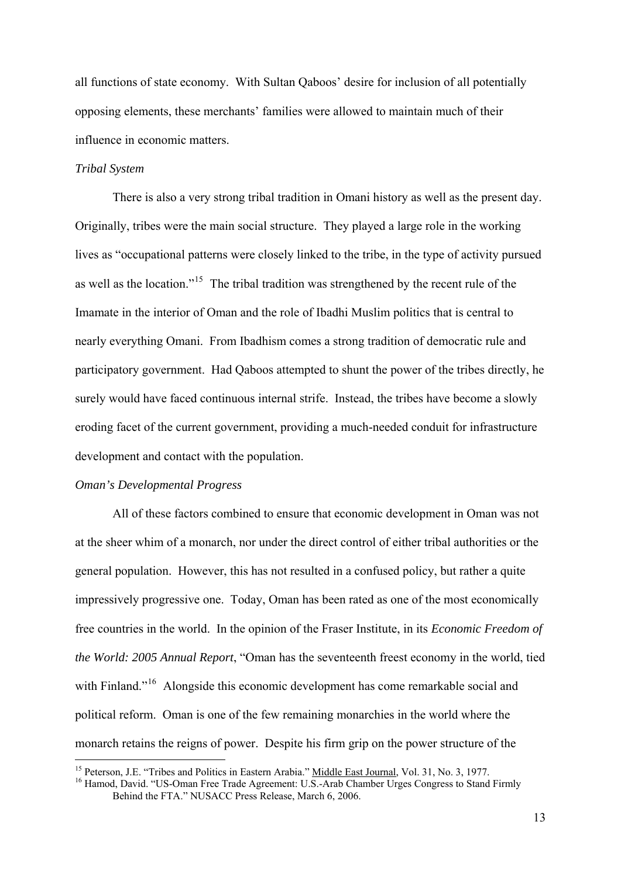all functions of state economy. With Sultan Qaboos' desire for inclusion of all potentially opposing elements, these merchants' families were allowed to maintain much of their influence in economic matters.

#### *Tribal System*

 There is also a very strong tribal tradition in Omani history as well as the present day. Originally, tribes were the main social structure. They played a large role in the working lives as "occupational patterns were closely linked to the tribe, in the type of activity pursued as well as the location."<sup>[15](#page-14-0)</sup> The tribal tradition was strengthened by the recent rule of the Imamate in the interior of Oman and the role of Ibadhi Muslim politics that is central to nearly everything Omani. From Ibadhism comes a strong tradition of democratic rule and participatory government. Had Qaboos attempted to shunt the power of the tribes directly, he surely would have faced continuous internal strife. Instead, the tribes have become a slowly eroding facet of the current government, providing a much-needed conduit for infrastructure development and contact with the population.

#### *Oman's Developmental Progress*

1

 All of these factors combined to ensure that economic development in Oman was not at the sheer whim of a monarch, nor under the direct control of either tribal authorities or the general population. However, this has not resulted in a confused policy, but rather a quite impressively progressive one. Today, Oman has been rated as one of the most economically free countries in the world. In the opinion of the Fraser Institute, in its *Economic Freedom of the World: 2005 Annual Report*, "Oman has the seventeenth freest economy in the world, tied with Finland."<sup>[16](#page-14-1)</sup> Alongside this economic development has come remarkable social and political reform. Oman is one of the few remaining monarchies in the world where the monarch retains the reigns of power. Despite his firm grip on the power structure of the

<span id="page-14-1"></span><span id="page-14-0"></span>

<sup>&</sup>lt;sup>15</sup> Peterson, J.E. "Tribes and Politics in Eastern Arabia." <u>Middle East Journal</u>, Vol. 31, No. 3, 1977.<br><sup>16</sup> Hamod, David. "US-Oman Free Trade Agreement: U.S.-Arab Chamber Urges Congress to Stand Firmly Behind the FTA." NUSACC Press Release, March 6, 2006.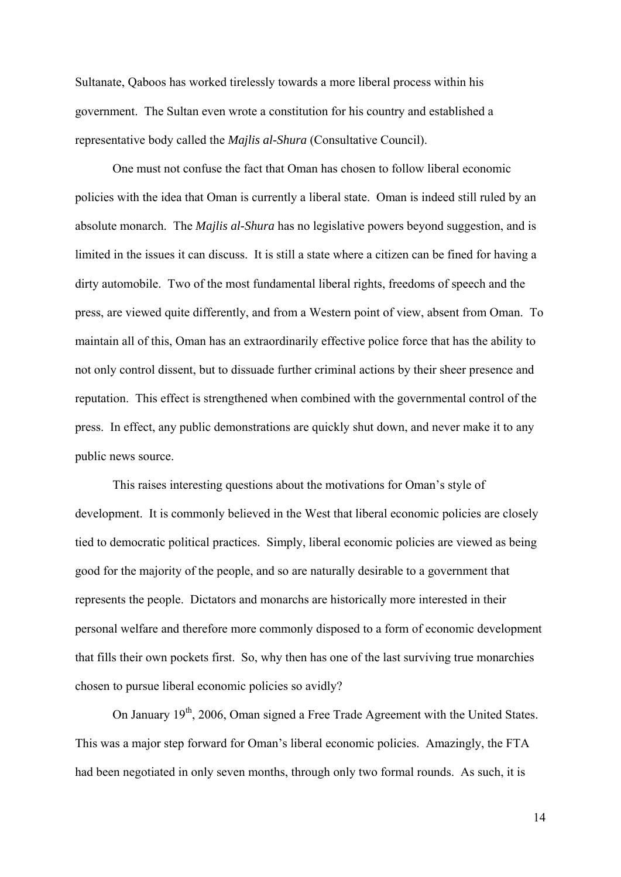Sultanate, Qaboos has worked tirelessly towards a more liberal process within his government. The Sultan even wrote a constitution for his country and established a representative body called the *Majlis al-Shura* (Consultative Council).

 One must not confuse the fact that Oman has chosen to follow liberal economic policies with the idea that Oman is currently a liberal state. Oman is indeed still ruled by an absolute monarch. The *Majlis al-Shura* has no legislative powers beyond suggestion, and is limited in the issues it can discuss. It is still a state where a citizen can be fined for having a dirty automobile. Two of the most fundamental liberal rights, freedoms of speech and the press, are viewed quite differently, and from a Western point of view, absent from Oman. To maintain all of this, Oman has an extraordinarily effective police force that has the ability to not only control dissent, but to dissuade further criminal actions by their sheer presence and reputation. This effect is strengthened when combined with the governmental control of the press. In effect, any public demonstrations are quickly shut down, and never make it to any public news source.

 This raises interesting questions about the motivations for Oman's style of development. It is commonly believed in the West that liberal economic policies are closely tied to democratic political practices. Simply, liberal economic policies are viewed as being good for the majority of the people, and so are naturally desirable to a government that represents the people. Dictators and monarchs are historically more interested in their personal welfare and therefore more commonly disposed to a form of economic development that fills their own pockets first. So, why then has one of the last surviving true monarchies chosen to pursue liberal economic policies so avidly?

On January 19<sup>th</sup>, 2006, Oman signed a Free Trade Agreement with the United States. This was a major step forward for Oman's liberal economic policies. Amazingly, the FTA had been negotiated in only seven months, through only two formal rounds. As such, it is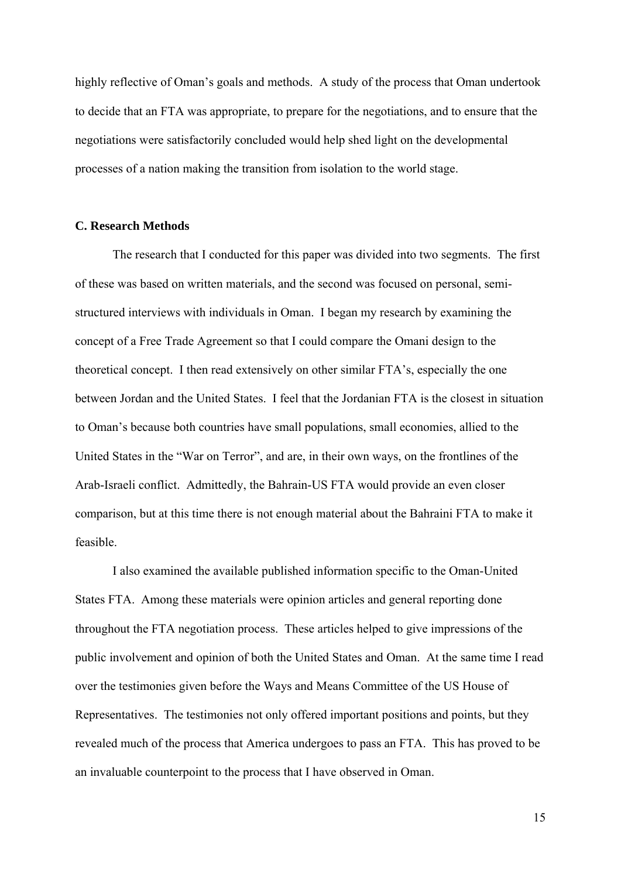highly reflective of Oman's goals and methods. A study of the process that Oman undertook to decide that an FTA was appropriate, to prepare for the negotiations, and to ensure that the negotiations were satisfactorily concluded would help shed light on the developmental processes of a nation making the transition from isolation to the world stage.

# **C. Research Methods**

 The research that I conducted for this paper was divided into two segments. The first of these was based on written materials, and the second was focused on personal, semistructured interviews with individuals in Oman. I began my research by examining the concept of a Free Trade Agreement so that I could compare the Omani design to the theoretical concept. I then read extensively on other similar FTA's, especially the one between Jordan and the United States. I feel that the Jordanian FTA is the closest in situation to Oman's because both countries have small populations, small economies, allied to the United States in the "War on Terror", and are, in their own ways, on the frontlines of the Arab-Israeli conflict. Admittedly, the Bahrain-US FTA would provide an even closer comparison, but at this time there is not enough material about the Bahraini FTA to make it feasible.

 I also examined the available published information specific to the Oman-United States FTA. Among these materials were opinion articles and general reporting done throughout the FTA negotiation process. These articles helped to give impressions of the public involvement and opinion of both the United States and Oman. At the same time I read over the testimonies given before the Ways and Means Committee of the US House of Representatives. The testimonies not only offered important positions and points, but they revealed much of the process that America undergoes to pass an FTA. This has proved to be an invaluable counterpoint to the process that I have observed in Oman.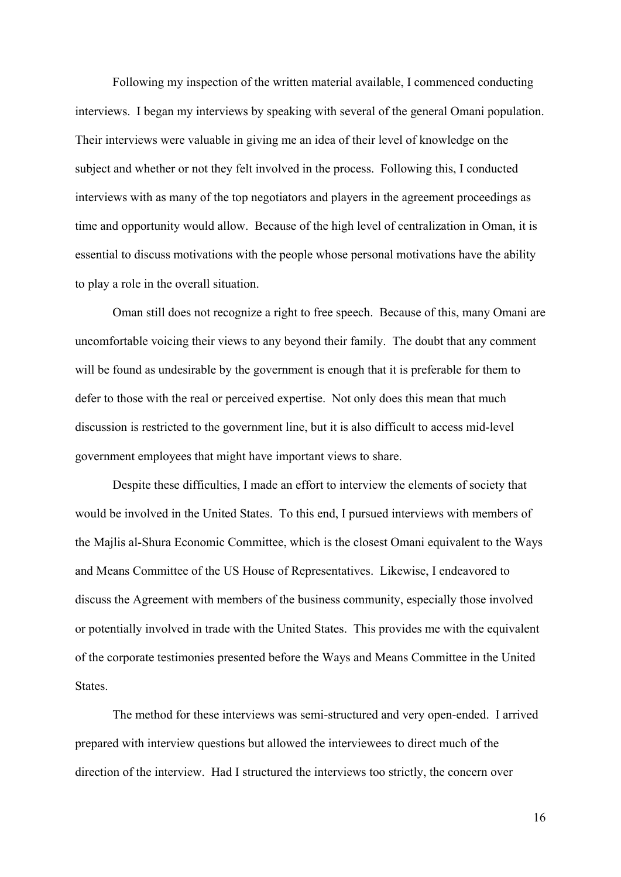Following my inspection of the written material available, I commenced conducting interviews. I began my interviews by speaking with several of the general Omani population. Their interviews were valuable in giving me an idea of their level of knowledge on the subject and whether or not they felt involved in the process. Following this, I conducted interviews with as many of the top negotiators and players in the agreement proceedings as time and opportunity would allow. Because of the high level of centralization in Oman, it is essential to discuss motivations with the people whose personal motivations have the ability to play a role in the overall situation.

Oman still does not recognize a right to free speech. Because of this, many Omani are uncomfortable voicing their views to any beyond their family. The doubt that any comment will be found as undesirable by the government is enough that it is preferable for them to defer to those with the real or perceived expertise. Not only does this mean that much discussion is restricted to the government line, but it is also difficult to access mid-level government employees that might have important views to share.

 Despite these difficulties, I made an effort to interview the elements of society that would be involved in the United States. To this end, I pursued interviews with members of the Majlis al-Shura Economic Committee, which is the closest Omani equivalent to the Ways and Means Committee of the US House of Representatives. Likewise, I endeavored to discuss the Agreement with members of the business community, especially those involved or potentially involved in trade with the United States. This provides me with the equivalent of the corporate testimonies presented before the Ways and Means Committee in the United States.

 The method for these interviews was semi-structured and very open-ended. I arrived prepared with interview questions but allowed the interviewees to direct much of the direction of the interview. Had I structured the interviews too strictly, the concern over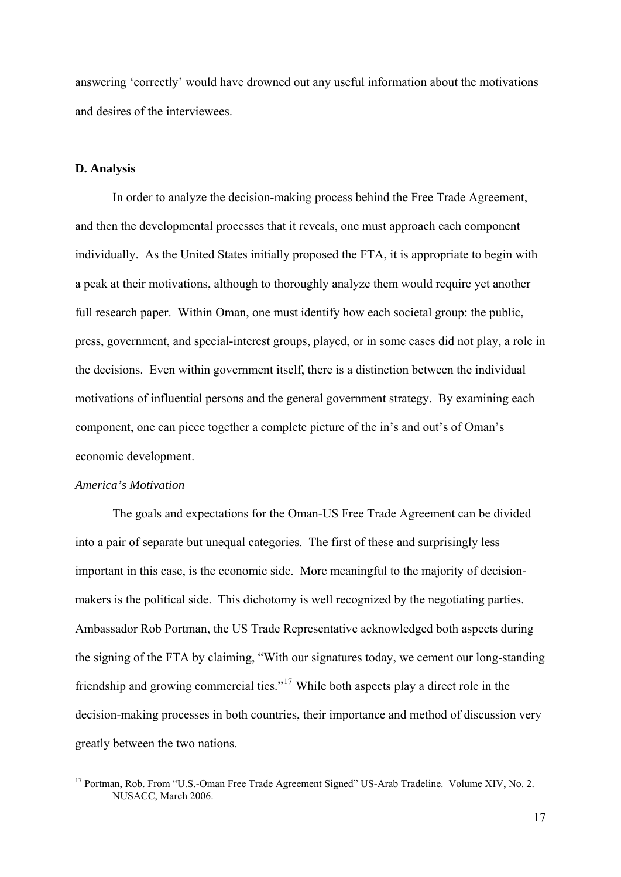answering 'correctly' would have drowned out any useful information about the motivations and desires of the interviewees.

#### **D. Analysis**

In order to analyze the decision-making process behind the Free Trade Agreement, and then the developmental processes that it reveals, one must approach each component individually. As the United States initially proposed the FTA, it is appropriate to begin with a peak at their motivations, although to thoroughly analyze them would require yet another full research paper. Within Oman, one must identify how each societal group: the public, press, government, and special-interest groups, played, or in some cases did not play, a role in the decisions. Even within government itself, there is a distinction between the individual motivations of influential persons and the general government strategy. By examining each component, one can piece together a complete picture of the in's and out's of Oman's economic development.

# *America's Motivation*

1

 The goals and expectations for the Oman-US Free Trade Agreement can be divided into a pair of separate but unequal categories. The first of these and surprisingly less important in this case, is the economic side. More meaningful to the majority of decisionmakers is the political side. This dichotomy is well recognized by the negotiating parties. Ambassador Rob Portman, the US Trade Representative acknowledged both aspects during the signing of the FTA by claiming, "With our signatures today, we cement our long-standing friendship and growing commercial ties."[17](#page-18-0) While both aspects play a direct role in the decision-making processes in both countries, their importance and method of discussion very greatly between the two nations.

<span id="page-18-0"></span><sup>&</sup>lt;sup>17</sup> Portman, Rob. From "U.S.-Oman Free Trade Agreement Signed" US-Arab Tradeline. Volume XIV, No. 2. NUSACC, March 2006.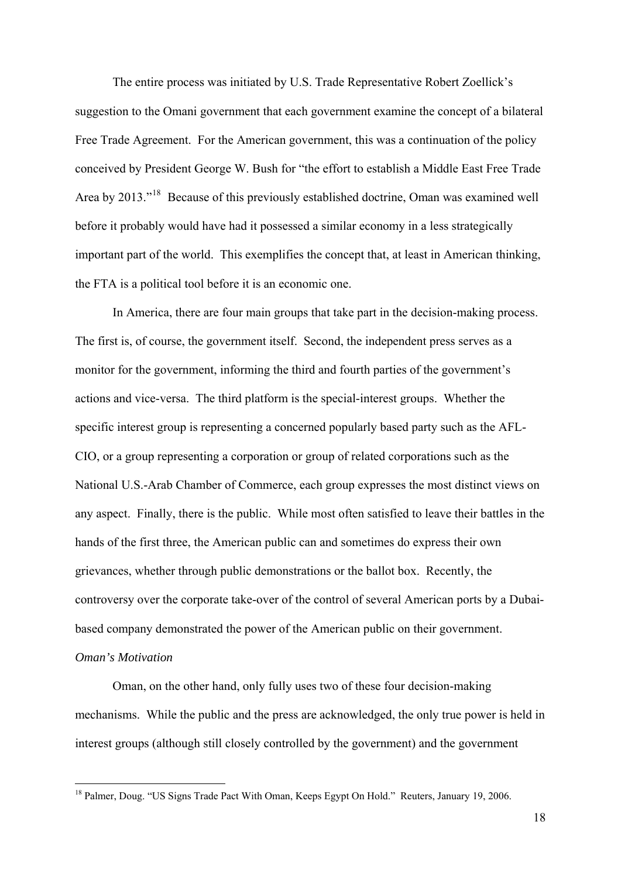The entire process was initiated by U.S. Trade Representative Robert Zoellick's suggestion to the Omani government that each government examine the concept of a bilateral Free Trade Agreement. For the American government, this was a continuation of the policy conceived by President George W. Bush for "the effort to establish a Middle East Free Trade Area by 2013."<sup>[18](#page-19-0)</sup> Because of this previously established doctrine, Oman was examined well before it probably would have had it possessed a similar economy in a less strategically important part of the world. This exemplifies the concept that, at least in American thinking, the FTA is a political tool before it is an economic one.

 In America, there are four main groups that take part in the decision-making process. The first is, of course, the government itself. Second, the independent press serves as a monitor for the government, informing the third and fourth parties of the government's actions and vice-versa. The third platform is the special-interest groups. Whether the specific interest group is representing a concerned popularly based party such as the AFL-CIO, or a group representing a corporation or group of related corporations such as the National U.S.-Arab Chamber of Commerce, each group expresses the most distinct views on any aspect. Finally, there is the public. While most often satisfied to leave their battles in the hands of the first three, the American public can and sometimes do express their own grievances, whether through public demonstrations or the ballot box. Recently, the controversy over the corporate take-over of the control of several American ports by a Dubaibased company demonstrated the power of the American public on their government. *Oman's Motivation* 

 Oman, on the other hand, only fully uses two of these four decision-making mechanisms. While the public and the press are acknowledged, the only true power is held in interest groups (although still closely controlled by the government) and the government

<span id="page-19-0"></span><sup>&</sup>lt;sup>18</sup> Palmer, Doug. "US Signs Trade Pact With Oman, Keeps Egypt On Hold." Reuters, January 19, 2006.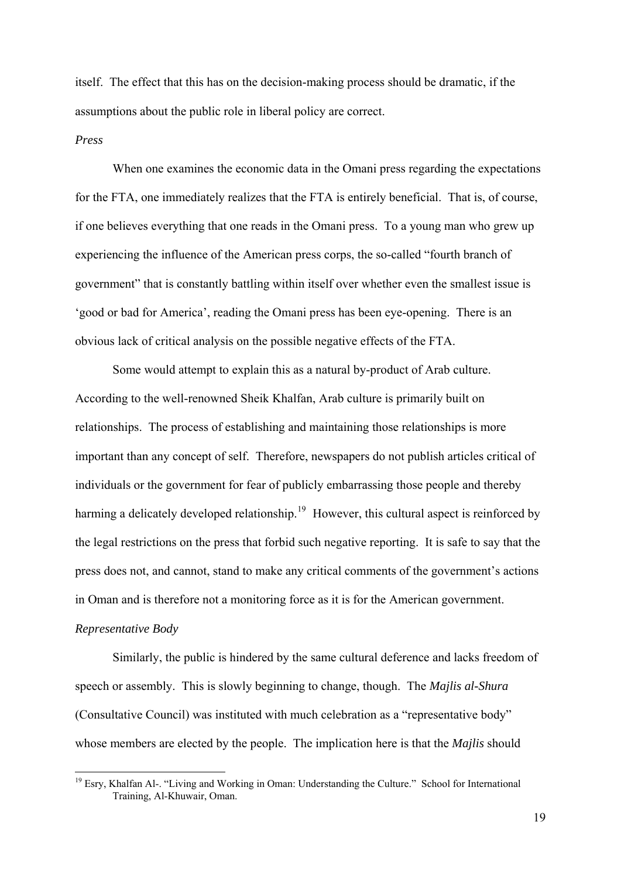itself. The effect that this has on the decision-making process should be dramatic, if the assumptions about the public role in liberal policy are correct.

#### *Press*

 When one examines the economic data in the Omani press regarding the expectations for the FTA, one immediately realizes that the FTA is entirely beneficial. That is, of course, if one believes everything that one reads in the Omani press. To a young man who grew up experiencing the influence of the American press corps, the so-called "fourth branch of government" that is constantly battling within itself over whether even the smallest issue is 'good or bad for America', reading the Omani press has been eye-opening. There is an obvious lack of critical analysis on the possible negative effects of the FTA.

 Some would attempt to explain this as a natural by-product of Arab culture. According to the well-renowned Sheik Khalfan, Arab culture is primarily built on relationships. The process of establishing and maintaining those relationships is more important than any concept of self. Therefore, newspapers do not publish articles critical of individuals or the government for fear of publicly embarrassing those people and thereby harming a delicately developed relationship.<sup>[19](#page-20-0)</sup> However, this cultural aspect is reinforced by the legal restrictions on the press that forbid such negative reporting. It is safe to say that the press does not, and cannot, stand to make any critical comments of the government's actions in Oman and is therefore not a monitoring force as it is for the American government.

# *Representative Body*

1

 Similarly, the public is hindered by the same cultural deference and lacks freedom of speech or assembly. This is slowly beginning to change, though. The *Majlis al-Shura* (Consultative Council) was instituted with much celebration as a "representative body" whose members are elected by the people. The implication here is that the *Majlis* should

<span id="page-20-0"></span><sup>&</sup>lt;sup>19</sup> Esry, Khalfan Al-. "Living and Working in Oman: Understanding the Culture." School for International Training, Al-Khuwair, Oman.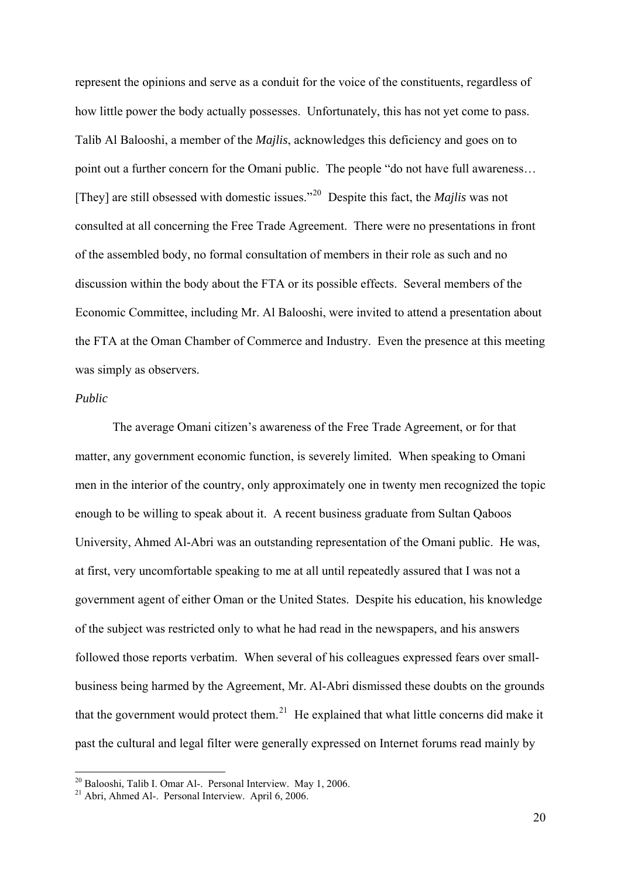represent the opinions and serve as a conduit for the voice of the constituents, regardless of how little power the body actually possesses. Unfortunately, this has not yet come to pass. Talib Al Balooshi, a member of the *Majlis*, acknowledges this deficiency and goes on to point out a further concern for the Omani public. The people "do not have full awareness… [They] are still obsessed with domestic issues."[20](#page-21-0) Despite this fact, the *Majlis* was not consulted at all concerning the Free Trade Agreement. There were no presentations in front of the assembled body, no formal consultation of members in their role as such and no discussion within the body about the FTA or its possible effects. Several members of the Economic Committee, including Mr. Al Balooshi, were invited to attend a presentation about the FTA at the Oman Chamber of Commerce and Industry. Even the presence at this meeting was simply as observers.

# *Public*

1

 The average Omani citizen's awareness of the Free Trade Agreement, or for that matter, any government economic function, is severely limited. When speaking to Omani men in the interior of the country, only approximately one in twenty men recognized the topic enough to be willing to speak about it. A recent business graduate from Sultan Qaboos University, Ahmed Al-Abri was an outstanding representation of the Omani public. He was, at first, very uncomfortable speaking to me at all until repeatedly assured that I was not a government agent of either Oman or the United States. Despite his education, his knowledge of the subject was restricted only to what he had read in the newspapers, and his answers followed those reports verbatim. When several of his colleagues expressed fears over smallbusiness being harmed by the Agreement, Mr. Al-Abri dismissed these doubts on the grounds that the government would protect them.<sup>[21](#page-21-1)</sup> He explained that what little concerns did make it past the cultural and legal filter were generally expressed on Internet forums read mainly by

<span id="page-21-0"></span><sup>20</sup> Balooshi, Talib I. Omar Al-. Personal Interview. May 1, 2006.

<span id="page-21-1"></span><sup>21</sup> Abri, Ahmed Al-. Personal Interview. April 6, 2006.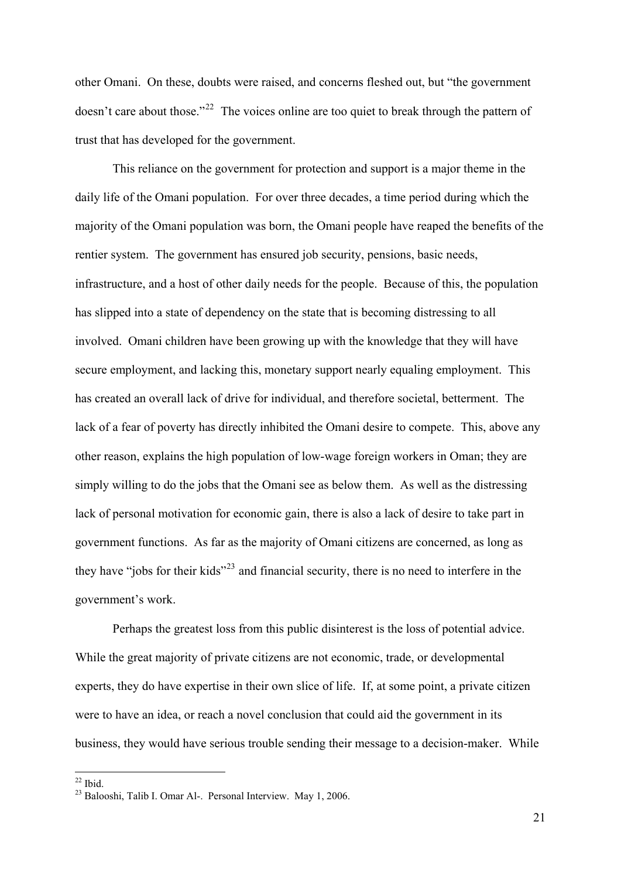other Omani. On these, doubts were raised, and concerns fleshed out, but "the government doesn't care about those."<sup>[22](#page-22-0)</sup> The voices online are too quiet to break through the pattern of trust that has developed for the government.

 This reliance on the government for protection and support is a major theme in the daily life of the Omani population. For over three decades, a time period during which the majority of the Omani population was born, the Omani people have reaped the benefits of the rentier system. The government has ensured job security, pensions, basic needs, infrastructure, and a host of other daily needs for the people. Because of this, the population has slipped into a state of dependency on the state that is becoming distressing to all involved. Omani children have been growing up with the knowledge that they will have secure employment, and lacking this, monetary support nearly equaling employment. This has created an overall lack of drive for individual, and therefore societal, betterment. The lack of a fear of poverty has directly inhibited the Omani desire to compete. This, above any other reason, explains the high population of low-wage foreign workers in Oman; they are simply willing to do the jobs that the Omani see as below them. As well as the distressing lack of personal motivation for economic gain, there is also a lack of desire to take part in government functions. As far as the majority of Omani citizens are concerned, as long as they have "jobs for their kids"[23](#page-22-1) and financial security, there is no need to interfere in the government's work.

 Perhaps the greatest loss from this public disinterest is the loss of potential advice. While the great majority of private citizens are not economic, trade, or developmental experts, they do have expertise in their own slice of life. If, at some point, a private citizen were to have an idea, or reach a novel conclusion that could aid the government in its business, they would have serious trouble sending their message to a decision-maker. While

 $22$  Ibid.

<span id="page-22-1"></span><span id="page-22-0"></span><sup>23</sup> Balooshi, Talib I. Omar Al-. Personal Interview. May 1, 2006.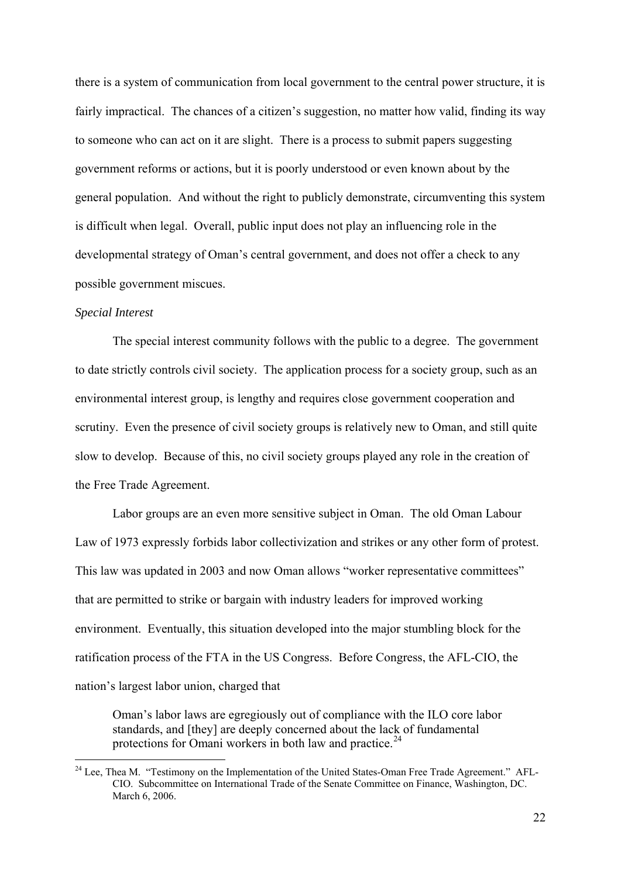there is a system of communication from local government to the central power structure, it is fairly impractical. The chances of a citizen's suggestion, no matter how valid, finding its way to someone who can act on it are slight. There is a process to submit papers suggesting government reforms or actions, but it is poorly understood or even known about by the general population. And without the right to publicly demonstrate, circumventing this system is difficult when legal. Overall, public input does not play an influencing role in the developmental strategy of Oman's central government, and does not offer a check to any possible government miscues.

#### *Special Interest*

1

 The special interest community follows with the public to a degree. The government to date strictly controls civil society. The application process for a society group, such as an environmental interest group, is lengthy and requires close government cooperation and scrutiny. Even the presence of civil society groups is relatively new to Oman, and still quite slow to develop. Because of this, no civil society groups played any role in the creation of the Free Trade Agreement.

 Labor groups are an even more sensitive subject in Oman. The old Oman Labour Law of 1973 expressly forbids labor collectivization and strikes or any other form of protest. This law was updated in 2003 and now Oman allows "worker representative committees" that are permitted to strike or bargain with industry leaders for improved working environment. Eventually, this situation developed into the major stumbling block for the ratification process of the FTA in the US Congress. Before Congress, the AFL-CIO, the nation's largest labor union, charged that

Oman's labor laws are egregiously out of compliance with the ILO core labor standards, and [they] are deeply concerned about the lack of fundamental protections for Omani workers in both law and practice.<sup>[24](#page-23-0)</sup>

<span id="page-23-0"></span> $^{24}$  Lee, Thea M. "Testimony on the Implementation of the United States-Oman Free Trade Agreement." AFL-CIO. Subcommittee on International Trade of the Senate Committee on Finance, Washington, DC. March 6, 2006.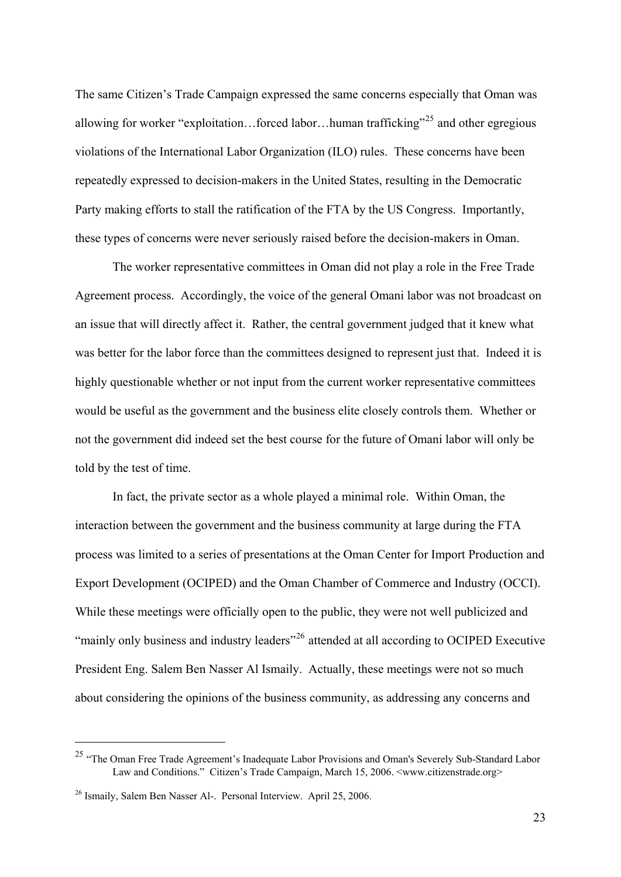The same Citizen's Trade Campaign expressed the same concerns especially that Oman was allowing for worker "exploitation...forced labor...human trafficking"<sup>[25](#page-24-0)</sup> and other egregious violations of the International Labor Organization (ILO) rules. These concerns have been repeatedly expressed to decision-makers in the United States, resulting in the Democratic Party making efforts to stall the ratification of the FTA by the US Congress. Importantly, these types of concerns were never seriously raised before the decision-makers in Oman.

 The worker representative committees in Oman did not play a role in the Free Trade Agreement process. Accordingly, the voice of the general Omani labor was not broadcast on an issue that will directly affect it. Rather, the central government judged that it knew what was better for the labor force than the committees designed to represent just that. Indeed it is highly questionable whether or not input from the current worker representative committees would be useful as the government and the business elite closely controls them. Whether or not the government did indeed set the best course for the future of Omani labor will only be told by the test of time.

In fact, the private sector as a whole played a minimal role. Within Oman, the interaction between the government and the business community at large during the FTA process was limited to a series of presentations at the Oman Center for Import Production and Export Development (OCIPED) and the Oman Chamber of Commerce and Industry (OCCI). While these meetings were officially open to the public, they were not well publicized and "mainly only business and industry leaders"<sup>[26](#page-24-1)</sup> attended at all according to OCIPED Executive President Eng. Salem Ben Nasser Al Ismaily. Actually, these meetings were not so much about considering the opinions of the business community, as addressing any concerns and

<u>.</u>

<span id="page-24-0"></span><sup>&</sup>lt;sup>25</sup> "The Oman Free Trade Agreement's Inadequate Labor Provisions and Oman's Severely Sub-Standard Labor Law and Conditions." Citizen's Trade Campaign, March 15, 2006. <www.citizenstrade.org>

<span id="page-24-1"></span><sup>&</sup>lt;sup>26</sup> Ismaily, Salem Ben Nasser Al-. Personal Interview. April 25, 2006.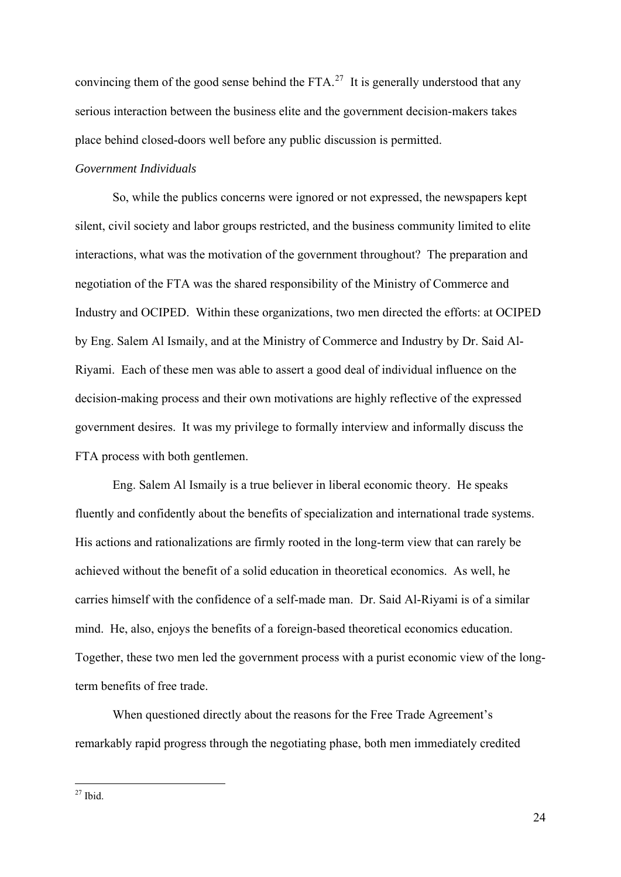convincing them of the good sense behind the FTA.<sup>[27](#page-25-0)</sup> It is generally understood that any serious interaction between the business elite and the government decision-makers takes place behind closed-doors well before any public discussion is permitted.

# *Government Individuals*

 So, while the publics concerns were ignored or not expressed, the newspapers kept silent, civil society and labor groups restricted, and the business community limited to elite interactions, what was the motivation of the government throughout? The preparation and negotiation of the FTA was the shared responsibility of the Ministry of Commerce and Industry and OCIPED. Within these organizations, two men directed the efforts: at OCIPED by Eng. Salem Al Ismaily, and at the Ministry of Commerce and Industry by Dr. Said Al-Riyami. Each of these men was able to assert a good deal of individual influence on the decision-making process and their own motivations are highly reflective of the expressed government desires. It was my privilege to formally interview and informally discuss the FTA process with both gentlemen.

 Eng. Salem Al Ismaily is a true believer in liberal economic theory. He speaks fluently and confidently about the benefits of specialization and international trade systems. His actions and rationalizations are firmly rooted in the long-term view that can rarely be achieved without the benefit of a solid education in theoretical economics. As well, he carries himself with the confidence of a self-made man. Dr. Said Al-Riyami is of a similar mind. He, also, enjoys the benefits of a foreign-based theoretical economics education. Together, these two men led the government process with a purist economic view of the longterm benefits of free trade.

 When questioned directly about the reasons for the Free Trade Agreement's remarkably rapid progress through the negotiating phase, both men immediately credited

<span id="page-25-0"></span> $27$  Ibid.

1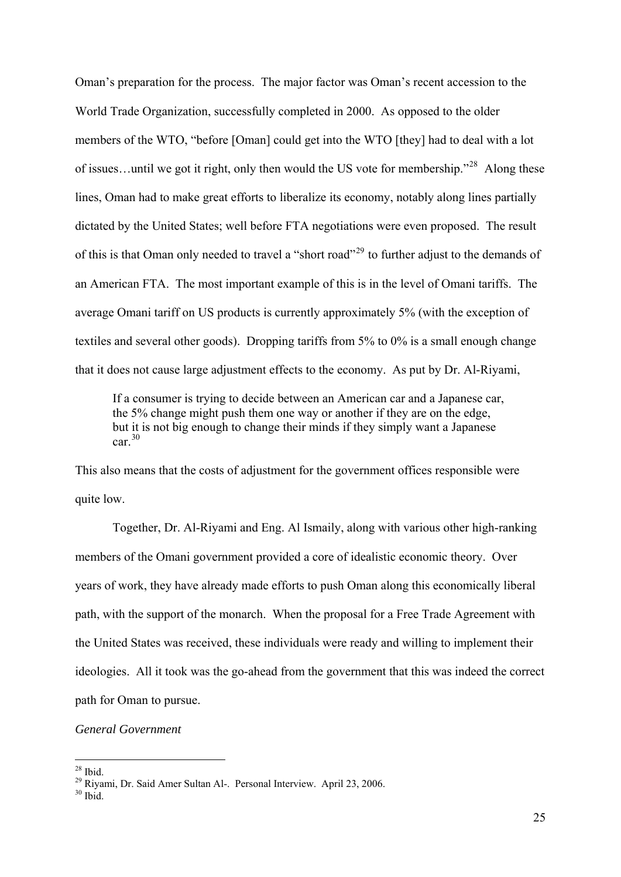Oman's preparation for the process. The major factor was Oman's recent accession to the World Trade Organization, successfully completed in 2000. As opposed to the older members of the WTO, "before [Oman] could get into the WTO [they] had to deal with a lot of issues…until we got it right, only then would the US vote for membership."[28](#page-26-0) Along these lines, Oman had to make great efforts to liberalize its economy, notably along lines partially dictated by the United States; well before FTA negotiations were even proposed. The result of this is that Oman only needed to travel a "short road"[29](#page-26-1) to further adjust to the demands of an American FTA. The most important example of this is in the level of Omani tariffs. The average Omani tariff on US products is currently approximately 5% (with the exception of textiles and several other goods). Dropping tariffs from 5% to 0% is a small enough change that it does not cause large adjustment effects to the economy. As put by Dr. Al-Riyami,

If a consumer is trying to decide between an American car and a Japanese car, the 5% change might push them one way or another if they are on the edge, but it is not big enough to change their minds if they simply want a Japanese car [30](#page-26-2)

This also means that the costs of adjustment for the government offices responsible were quite low.

 Together, Dr. Al-Riyami and Eng. Al Ismaily, along with various other high-ranking members of the Omani government provided a core of idealistic economic theory. Over years of work, they have already made efforts to push Oman along this economically liberal path, with the support of the monarch. When the proposal for a Free Trade Agreement with the United States was received, these individuals were ready and willing to implement their ideologies. All it took was the go-ahead from the government that this was indeed the correct path for Oman to pursue.

*General Government* 

<sup>1</sup>  $28$  Ibid.

<span id="page-26-1"></span><span id="page-26-0"></span><sup>29</sup> Riyami, Dr. Said Amer Sultan Al-. Personal Interview. April 23, 2006.

<span id="page-26-2"></span> $30$  Ibid.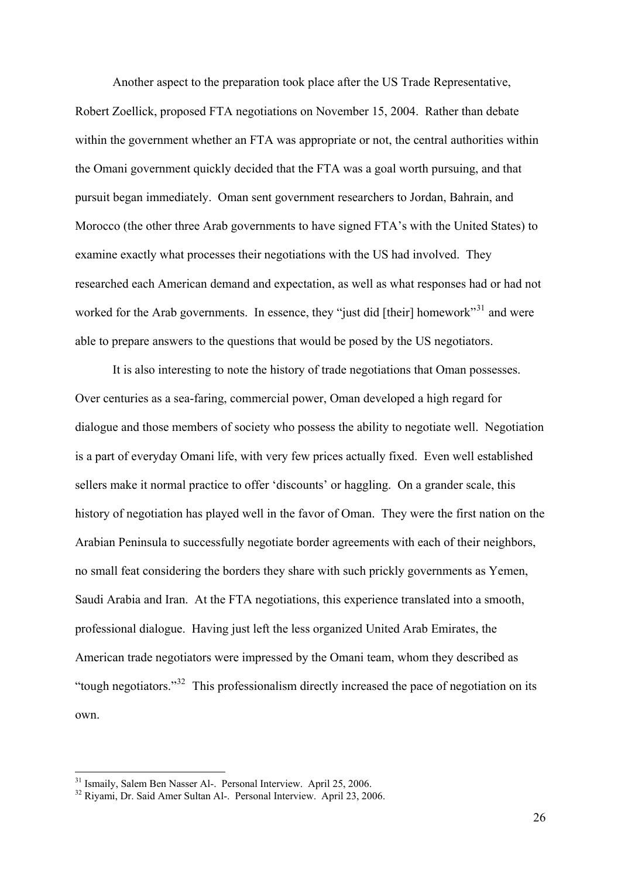Another aspect to the preparation took place after the US Trade Representative, Robert Zoellick, proposed FTA negotiations on November 15, 2004. Rather than debate within the government whether an FTA was appropriate or not, the central authorities within the Omani government quickly decided that the FTA was a goal worth pursuing, and that pursuit began immediately. Oman sent government researchers to Jordan, Bahrain, and Morocco (the other three Arab governments to have signed FTA's with the United States) to examine exactly what processes their negotiations with the US had involved. They researched each American demand and expectation, as well as what responses had or had not worked for the Arab governments. In essence, they "just did [their] homework"<sup>[31](#page-27-0)</sup> and were able to prepare answers to the questions that would be posed by the US negotiators.

 It is also interesting to note the history of trade negotiations that Oman possesses. Over centuries as a sea-faring, commercial power, Oman developed a high regard for dialogue and those members of society who possess the ability to negotiate well. Negotiation is a part of everyday Omani life, with very few prices actually fixed. Even well established sellers make it normal practice to offer 'discounts' or haggling. On a grander scale, this history of negotiation has played well in the favor of Oman. They were the first nation on the Arabian Peninsula to successfully negotiate border agreements with each of their neighbors, no small feat considering the borders they share with such prickly governments as Yemen, Saudi Arabia and Iran. At the FTA negotiations, this experience translated into a smooth, professional dialogue. Having just left the less organized United Arab Emirates, the American trade negotiators were impressed by the Omani team, whom they described as "tough negotiators."[32](#page-27-1) This professionalism directly increased the pace of negotiation on its own.

<span id="page-27-0"></span><sup>31</sup> Ismaily, Salem Ben Nasser Al-. Personal Interview. April 25, 2006.

<span id="page-27-1"></span><sup>&</sup>lt;sup>32</sup> Rivami, Dr. Said Amer Sultan Al-. Personal Interview. April 23, 2006.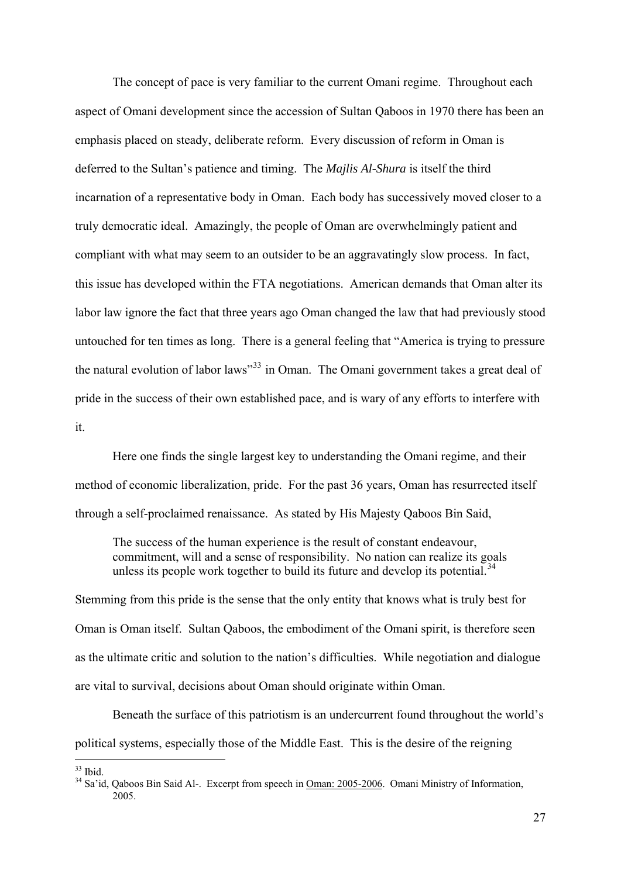The concept of pace is very familiar to the current Omani regime. Throughout each aspect of Omani development since the accession of Sultan Qaboos in 1970 there has been an emphasis placed on steady, deliberate reform. Every discussion of reform in Oman is deferred to the Sultan's patience and timing. The *Majlis Al-Shura* is itself the third incarnation of a representative body in Oman. Each body has successively moved closer to a truly democratic ideal. Amazingly, the people of Oman are overwhelmingly patient and compliant with what may seem to an outsider to be an aggravatingly slow process. In fact, this issue has developed within the FTA negotiations. American demands that Oman alter its labor law ignore the fact that three years ago Oman changed the law that had previously stood untouched for ten times as long. There is a general feeling that "America is trying to pressure the natural evolution of labor laws<sup>[33](#page-28-0)3</sup> in Oman. The Omani government takes a great deal of pride in the success of their own established pace, and is wary of any efforts to interfere with it.

 Here one finds the single largest key to understanding the Omani regime, and their method of economic liberalization, pride. For the past 36 years, Oman has resurrected itself through a self-proclaimed renaissance. As stated by His Majesty Qaboos Bin Said,

The success of the human experience is the result of constant endeavour, commitment, will and a sense of responsibility. No nation can realize its goals unless its people work together to build its future and develop its potential.<sup>[34](#page-28-1)</sup>

Stemming from this pride is the sense that the only entity that knows what is truly best for Oman is Oman itself. Sultan Qaboos, the embodiment of the Omani spirit, is therefore seen as the ultimate critic and solution to the nation's difficulties. While negotiation and dialogue are vital to survival, decisions about Oman should originate within Oman.

 Beneath the surface of this patriotism is an undercurrent found throughout the world's political systems, especially those of the Middle East. This is the desire of the reigning

 $33$  Ibid.

<span id="page-28-1"></span><span id="page-28-0"></span><sup>&</sup>lt;sup>34</sup> Sa'id. Oaboos Bin Said Al-. Excerpt from speech in Oman: 2005-2006. Omani Ministry of Information, 2005.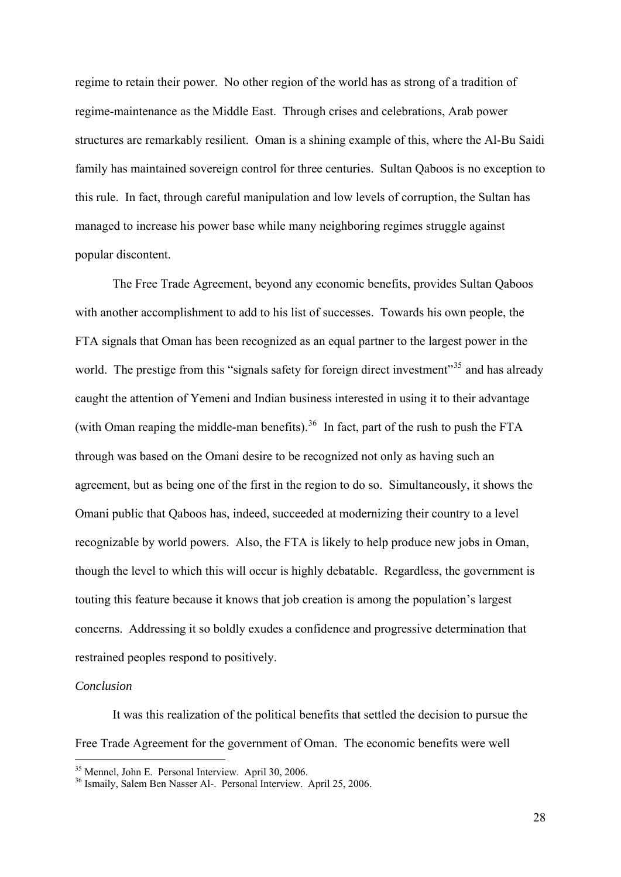regime to retain their power. No other region of the world has as strong of a tradition of regime-maintenance as the Middle East. Through crises and celebrations, Arab power structures are remarkably resilient. Oman is a shining example of this, where the Al-Bu Saidi family has maintained sovereign control for three centuries. Sultan Qaboos is no exception to this rule. In fact, through careful manipulation and low levels of corruption, the Sultan has managed to increase his power base while many neighboring regimes struggle against popular discontent.

 The Free Trade Agreement, beyond any economic benefits, provides Sultan Qaboos with another accomplishment to add to his list of successes. Towards his own people, the FTA signals that Oman has been recognized as an equal partner to the largest power in the world. The prestige from this "signals safety for foreign direct investment"<sup>[35](#page-29-0)</sup> and has already caught the attention of Yemeni and Indian business interested in using it to their advantage (with Oman reaping the middle-man benefits).<sup>[36](#page-29-1)</sup> In fact, part of the rush to push the FTA through was based on the Omani desire to be recognized not only as having such an agreement, but as being one of the first in the region to do so. Simultaneously, it shows the Omani public that Qaboos has, indeed, succeeded at modernizing their country to a level recognizable by world powers. Also, the FTA is likely to help produce new jobs in Oman, though the level to which this will occur is highly debatable. Regardless, the government is touting this feature because it knows that job creation is among the population's largest concerns. Addressing it so boldly exudes a confidence and progressive determination that restrained peoples respond to positively.

#### *Conclusion*

 It was this realization of the political benefits that settled the decision to pursue the Free Trade Agreement for the government of Oman. The economic benefits were well

<span id="page-29-0"></span><sup>&</sup>lt;sup>35</sup> Mennel, John E. Personal Interview. April 30, 2006.

<span id="page-29-1"></span><sup>&</sup>lt;sup>36</sup> Ismaily, Salem Ben Nasser Al-. Personal Interview. April 25, 2006.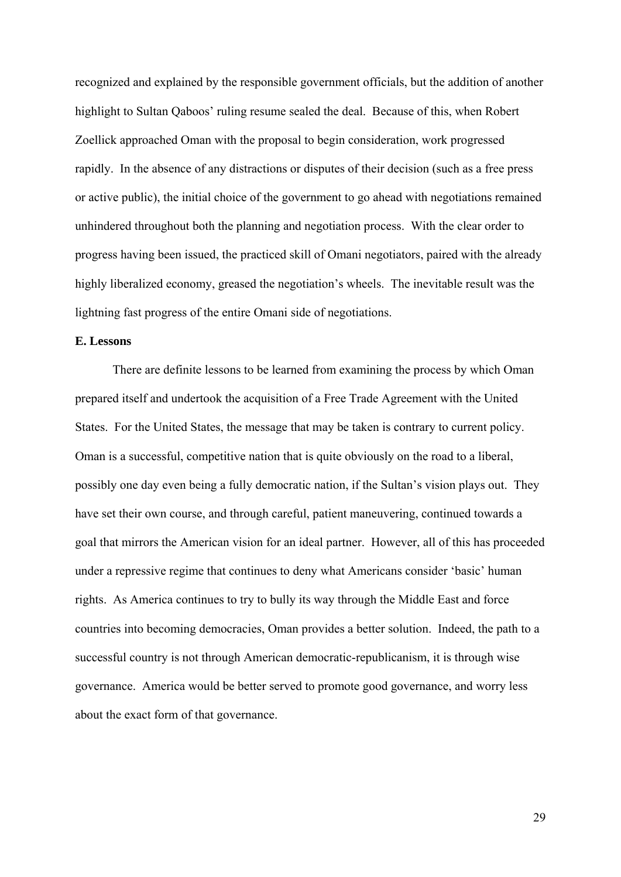recognized and explained by the responsible government officials, but the addition of another highlight to Sultan Qaboos' ruling resume sealed the deal. Because of this, when Robert Zoellick approached Oman with the proposal to begin consideration, work progressed rapidly. In the absence of any distractions or disputes of their decision (such as a free press or active public), the initial choice of the government to go ahead with negotiations remained unhindered throughout both the planning and negotiation process. With the clear order to progress having been issued, the practiced skill of Omani negotiators, paired with the already highly liberalized economy, greased the negotiation's wheels. The inevitable result was the lightning fast progress of the entire Omani side of negotiations.

# **E. Lessons**

 There are definite lessons to be learned from examining the process by which Oman prepared itself and undertook the acquisition of a Free Trade Agreement with the United States. For the United States, the message that may be taken is contrary to current policy. Oman is a successful, competitive nation that is quite obviously on the road to a liberal, possibly one day even being a fully democratic nation, if the Sultan's vision plays out. They have set their own course, and through careful, patient maneuvering, continued towards a goal that mirrors the American vision for an ideal partner. However, all of this has proceeded under a repressive regime that continues to deny what Americans consider 'basic' human rights. As America continues to try to bully its way through the Middle East and force countries into becoming democracies, Oman provides a better solution. Indeed, the path to a successful country is not through American democratic-republicanism, it is through wise governance. America would be better served to promote good governance, and worry less about the exact form of that governance.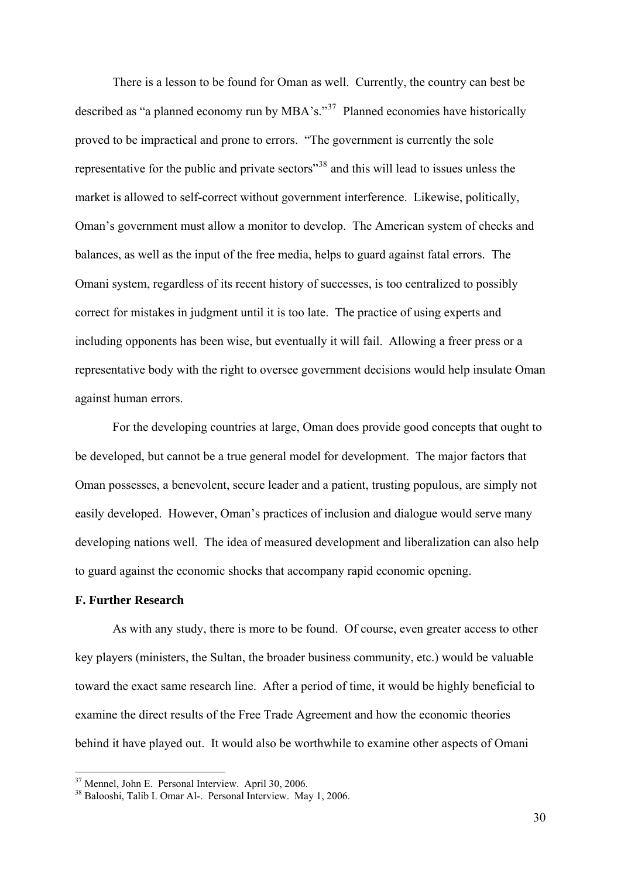There is a lesson to be found for Oman as well. Currently, the country can best be described as "a planned economy run by MBA's."[37](#page-31-0) Planned economies have historically proved to be impractical and prone to errors. "The government is currently the sole representative for the public and private sectors"[38](#page-31-1) and this will lead to issues unless the market is allowed to self-correct without government interference. Likewise, politically, Oman's government must allow a monitor to develop. The American system of checks and balances, as well as the input of the free media, helps to guard against fatal errors. The Omani system, regardless of its recent history of successes, is too centralized to possibly correct for mistakes in judgment until it is too late. The practice of using experts and including opponents has been wise, but eventually it will fail. Allowing a freer press or a representative body with the right to oversee government decisions would help insulate Oman against human errors.

 For the developing countries at large, Oman does provide good concepts that ought to be developed, but cannot be a true general model for development. The major factors that Oman possesses, a benevolent, secure leader and a patient, trusting populous, are simply not easily developed. However, Oman's practices of inclusion and dialogue would serve many developing nations well. The idea of measured development and liberalization can also help to guard against the economic shocks that accompany rapid economic opening.

# **F. Further Research**

1

 As with any study, there is more to be found. Of course, even greater access to other key players (ministers, the Sultan, the broader business community, etc.) would be valuable toward the exact same research line. After a period of time, it would be highly beneficial to examine the direct results of the Free Trade Agreement and how the economic theories behind it have played out. It would also be worthwhile to examine other aspects of Omani

<span id="page-31-1"></span><span id="page-31-0"></span> $37$  Mennel, John E. Personal Interview. April 30, 2006.<br> $38$  Balooshi, Talib I. Omar Al-. Personal Interview. May 1, 2006.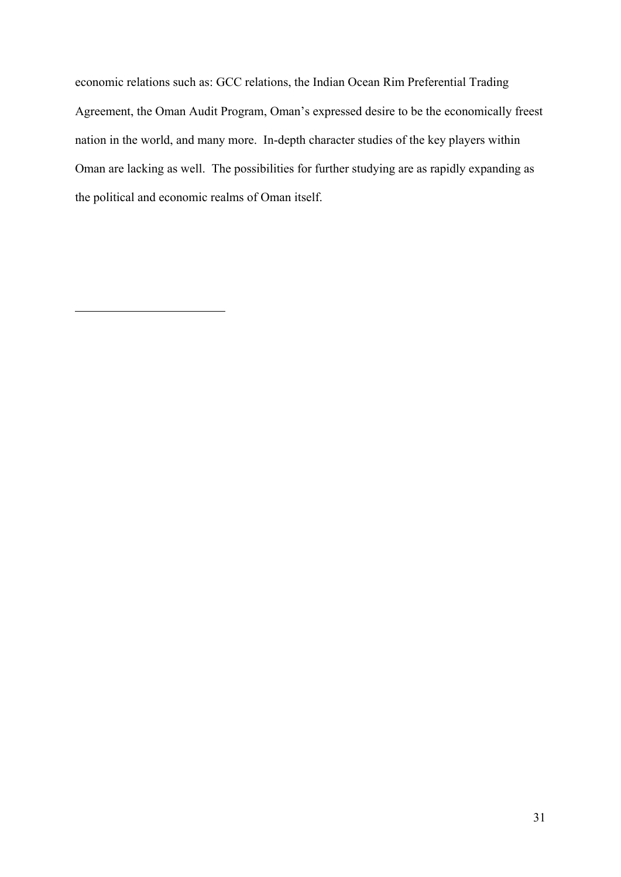economic relations such as: GCC relations, the Indian Ocean Rim Preferential Trading Agreement, the Oman Audit Program, Oman's expressed desire to be the economically freest nation in the world, and many more. In-depth character studies of the key players within Oman are lacking as well. The possibilities for further studying are as rapidly expanding as the political and economic realms of Oman itself.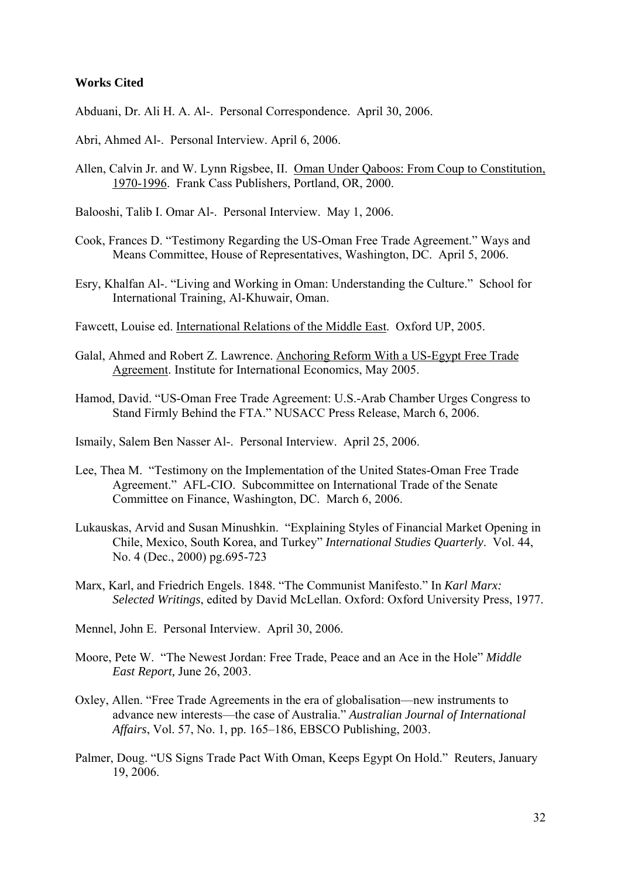#### **Works Cited**

Abduani, Dr. Ali H. A. Al-. Personal Correspondence. April 30, 2006.

- Abri, Ahmed Al-. Personal Interview. April 6, 2006.
- Allen, Calvin Jr. and W. Lynn Rigsbee, II. Oman Under Qaboos: From Coup to Constitution, 1970-1996. Frank Cass Publishers, Portland, OR, 2000.
- Balooshi, Talib I. Omar Al-. Personal Interview. May 1, 2006.
- Cook, Frances D. "Testimony Regarding the US-Oman Free Trade Agreement." Ways and Means Committee, House of Representatives, Washington, DC. April 5, 2006.
- Esry, Khalfan Al-. "Living and Working in Oman: Understanding the Culture." School for International Training, Al-Khuwair, Oman.
- Fawcett, Louise ed. International Relations of the Middle East. Oxford UP, 2005.
- Galal, Ahmed and Robert Z. Lawrence. Anchoring Reform With a US-Egypt Free Trade Agreement. Institute for International Economics, May 2005.
- Hamod, David. "US-Oman Free Trade Agreement: U.S.-Arab Chamber Urges Congress to Stand Firmly Behind the FTA." NUSACC Press Release, March 6, 2006.
- Ismaily, Salem Ben Nasser Al-. Personal Interview. April 25, 2006.
- Lee, Thea M. "Testimony on the Implementation of the United States-Oman Free Trade Agreement." AFL-CIO. Subcommittee on International Trade of the Senate Committee on Finance, Washington, DC. March 6, 2006.
- Lukauskas, Arvid and Susan Minushkin. "Explaining Styles of Financial Market Opening in Chile, Mexico, South Korea, and Turkey" *International Studies Quarterly*. Vol. 44, No. 4 (Dec., 2000) pg.695-723
- Marx, Karl, and Friedrich Engels. 1848. "The Communist Manifesto." In *Karl Marx: Selected Writings*, edited by David McLellan. Oxford: Oxford University Press, 1977.
- Mennel, John E. Personal Interview. April 30, 2006.
- Moore, Pete W. "The Newest Jordan: Free Trade, Peace and an Ace in the Hole" *Middle East Report,* June 26, 2003.
- Oxley, Allen. "Free Trade Agreements in the era of globalisation—new instruments to advance new interests—the case of Australia." *Australian Journal of International Affairs*, Vol. 57, No. 1, pp. 165–186, EBSCO Publishing, 2003.
- Palmer, Doug. "US Signs Trade Pact With Oman, Keeps Egypt On Hold." Reuters, January 19, 2006.